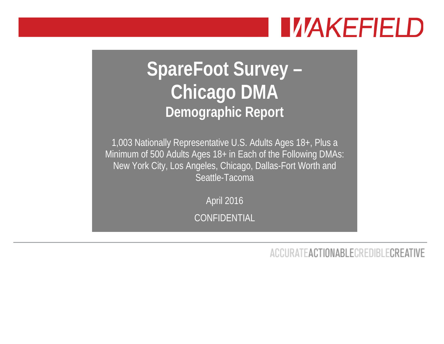# **IVAKEFIELD**

## **SpareFoot Survey – Chicago DMA Demographic Report**

1,003 Nationally Representative U.S. Adults Ages 18+, Plus a Minimum of 500 Adults Ages 18+ in Each of the Following DMAs: New York City, Los Angeles, Chicago, Dallas-Fort Worth and Seattle-Tacoma

April 2016

CONFIDENTIAL

**ACCURATEACTIONABLECREDIBLECREATIVE**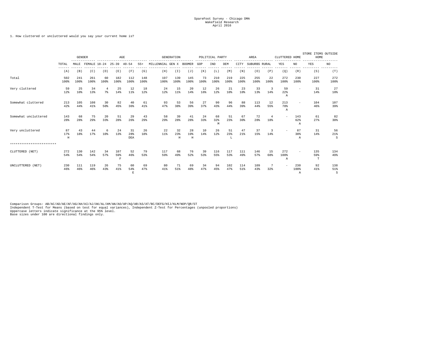#### 1. How cluttered or uncluttered would you say your current home is?

|                           |                         | <b>GENDER</b>         |              |                      | AGE                       |                  |             |                         | <b>GENERATION</b> |                |            | POLITICAL PARTY |                 |             | AREA          |                       | CLUTTERED HOME           |                            | STORE ITEMS OUTSIDE<br>HOME |                 |
|---------------------------|-------------------------|-----------------------|--------------|----------------------|---------------------------|------------------|-------------|-------------------------|-------------------|----------------|------------|-----------------|-----------------|-------------|---------------|-----------------------|--------------------------|----------------------------|-----------------------------|-----------------|
|                           | TOTAL                   | MALE                  | FEMALE 18-24 |                      | $25 - 39$ $40 - 54$       |                  | $55+$       | MILLENNIAL GEN X BOOMER |                   |                | GOP        | IND             | DEM             | CITY        | SUBURBS RURAL |                       | YES                      | NO                         | YES                         | NO              |
|                           | (A)                     | (B)                   | (C)          | (D)                  | (E)                       | (F)              | (G)         | (H)                     | (T)               | (J)            | (K)        | (L)             | (M)             | (N)         | (0)           | (P)                   | (Q)                      | (R)                        | (S)                         | (T)             |
| Total                     | 502<br>100%             | 241<br>100%           | 261<br>100%  | 60<br>100%           | 182<br>100%               | 112<br>100%      | 148<br>100% | 197<br>100%             | 139<br>100%       | 145<br>100%    | 73<br>100% | 210<br>100%     | 219<br>100%     | 225<br>100% | 255<br>100%   | 22<br>100%            | 272<br>100%              | 230<br>100%                | 227<br>100%                 | 272<br>100%     |
| Very cluttered            | 59<br>12%               | 25<br>10 <sup>8</sup> | 34<br>13%    | $\overline{4}$<br>7% | 25<br>14%                 | 12<br>11%        | 18<br>12%   | 24<br>12%               | 15<br>11%         | 20<br>14%      | 12<br>16%  | 26<br>12%       | 21<br>10%       | 23<br>10%   | 33<br>13%     | -3<br>14%             | 59<br>22%<br>Α           |                            | 31<br>14%                   | 27<br>10%       |
| Somewhat cluttered        | 213<br>42%              | 105<br>44%            | 108<br>41%   | 30<br>50%            | 82<br>45%                 | 40<br>36%        | 61<br>41%   | 93<br>47%               | 53<br>38%         | 56<br>39%      | 27<br>37%  | 90<br>43%       | 96<br>44%       | 88<br>39%   | 113<br>44%    | 12<br>55%             | 213<br>78%<br>Α          | $\overline{\phantom{a}}$   | 104<br>46%                  | 107<br>39%      |
| Somewhat uncluttered      | 143<br>28%              | 68<br>28%             | 75<br>29%    | 20<br>33%            | 51<br>28%                 | 29<br>26%        | 43<br>29%   | 58<br>29%               | 39<br>28%         | 41<br>28%      | 24<br>33%  | 68<br>32%<br>M  | 51<br>23%       | 67<br>30%   | 72<br>28%     | $\overline{4}$<br>18% | $\overline{\phantom{a}}$ | 143<br>62%<br>$\mathbb{A}$ | 61<br>27%                   | 82<br>30%       |
| Very uncluttered          | 87<br>17%<br>$_{\rm H}$ | 43<br>18%             | 44<br>17%    | 6<br>10 <sup>8</sup> | 24<br>13%                 | 31<br>28%<br>DEA | 26<br>18%   | 22<br>$11$ %            | 32<br>23%<br>H    | 28<br>19%<br>H | 10<br>14%  | 26<br>12%       | 51<br>23%<br>T. | 47<br>21%   | 37<br>15%     | 3<br>14%              | $\overline{\phantom{a}}$ | 87<br>38%<br>$\mathbb{A}$  | 31<br>14%                   | 56<br>21%<br>S  |
| ************************* |                         |                       |              |                      |                           |                  |             |                         |                   |                |            |                 |                 |             |               |                       |                          |                            |                             |                 |
| CLUTTERED (NET)           | 272<br>54%              | 130<br>54%            | 142<br>54%   | 34<br>57%            | 107<br>59%<br>$\mathbf F$ | 52<br>46%        | 79<br>53%   | 117<br>59%              | 68<br>49%         | 76<br>52%      | 39<br>53%  | 116<br>55%      | 117<br>53%      | 111<br>49%  | 146<br>57%    | 15<br>68%             | 272<br>100%<br>Α         |                            | 135<br>59%<br>T             | 134<br>49%      |
| UNCLUTTERED (NET)         | 230<br>46%              | 111<br>46%            | 119<br>46%   | 26<br>43%            | 75<br>41%                 | 60<br>54%<br>Ε   | 69<br>47%   | 80<br>41%               | 71<br>51%         | 69<br>48%      | 34<br>47%  | 94<br>45%       | 102<br>47%      | 114<br>51%  | 109<br>43%    | 7<br>32%              | $\overline{\phantom{a}}$ | 230<br>100%<br>Α           | 92<br>41%                   | 138<br>51%<br>S |

Comparison Groups: AB/AC/AD/AE/AF/AG/AH/AI/AJ/AK/AL/AM/AN/AO/AP/AQ/AR/AS/AT/BC/DEFG/HIJ/KLM/NOP/QR/ST<br>Independent T-Test for Means (based on test for equal variances), Independent Z-Test for Percentages (unpooled proportio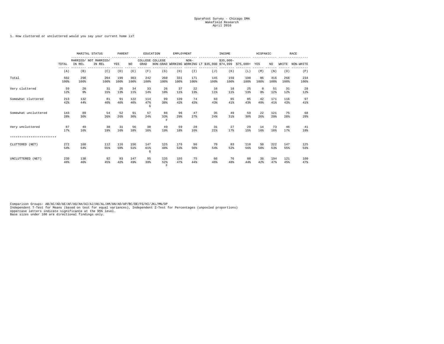#### 1. How cluttered or uncluttered would you say your current home is?

|                           |             | MARITAL STATUS | PARENT                          |             |                       | EDUCATION       | EMPLOYMENT                            |             |             | INCOME                                                      |             | HISPANIC    |                     |               | RACE        |             |
|---------------------------|-------------|----------------|---------------------------------|-------------|-----------------------|-----------------|---------------------------------------|-------------|-------------|-------------------------------------------------------------|-------------|-------------|---------------------|---------------|-------------|-------------|
|                           | TOTAL       | IN REL         | MARRIED/ NOT MARRIED/<br>IN REL | YES         | NO.                   | GRAD            | COLLEGE COLLEGE                       |             | $NON-$      | NON-GRAD WORKING WORKING LT \$35,000 \$74,999 \$75,000+ YES | $$35.000-$  |             |                     | NO.           | WHITE       | NON-WHITE   |
|                           | (A)         | (B)            | (C)                             | (D)         | (E)                   | (F)             | (G)                                   | (H)         | (T)         | (J)                                                         | (K)         | (L)         | (M)                 | (N)           | (0)         | (P)         |
| Total                     | 502<br>100% | 298<br>100%    | 204<br>100%                     | 199<br>100% | 303<br>100%           | 242<br>100%     | 260<br>100%                           | 331<br>100% | 171<br>100% | 145<br>100%                                                 | 159<br>100% | 198<br>100% | 86<br>100%          | 416<br>100%   | 268<br>100% | 234<br>100% |
| Very cluttered            | 59<br>12%   | 28<br>9%       | 31<br>15%                       | 25<br>13%   | 34<br>$11$ %          | 33<br>14%       | 26<br>10%                             | 37<br>11%   | 22<br>13%   | 16<br>11%                                                   | 18<br>11%   | 25<br>13%   | 8<br>9 <sub>8</sub> | 51<br>12%     | 31<br>12%   | 28<br>12%   |
| Somewhat cluttered        | 213<br>42%  | 132<br>44%     | 81<br>40%                       | 91<br>46%   | 122<br>40%            | 114<br>47%<br>G | 99<br>38%                             | 139<br>42%  | 74<br>43%   | 63<br>43%                                                   | 65<br>41%   | 85<br>43%   | 42<br>49%           | 171<br>41%    | 116<br>43%  | 97<br>41%   |
| Somewhat uncluttered      | 143<br>28%  | 89<br>30%      | 54<br>26%                       | 52<br>26%   | 91<br>30 <sup>8</sup> | 57<br>24%       | 86<br>33%<br>F                        | 96<br>29%   | 47<br>27%   | 35<br>2.4%                                                  | 49<br>31%   | 59<br>30%   | 22<br>26%           | 121<br>$29$ % | 75<br>28%   | 68<br>29%   |
| Very uncluttered          | 87<br>17%   | 49<br>16%      | 38<br>19%                       | 31<br>16%   | 56<br>18%             | 38<br>16%       | 49<br>19%                             | 59<br>18%   | 28<br>16%   | 31<br>21%                                                   | 27<br>17%   | 29<br>15%   | 14<br>16%           | 73<br>18%     | 46<br>17%   | 41<br>18%   |
| ************************* |             |                |                                 |             |                       |                 |                                       |             |             |                                                             |             |             |                     |               |             |             |
| CLUTTERED (NET)           | 272<br>54%  | 160<br>54%     | 112<br>55%                      | 116<br>58%  | 156<br>51%            | 147<br>61%<br>G | 125<br>48%                            | 176<br>53%  | 96<br>56%   | 79<br>54%                                                   | 83<br>52%   | 110<br>56%  | 50<br>58%           | 222<br>53%    | 147<br>55%  | 125<br>53%  |
| UNCLUTTERED (NET)         | 230<br>46%  | 138<br>46%     | 92<br>45%                       | 83<br>42%   | 147<br>49%            | 95<br>39%       | 135<br>52%<br>$\overline{\mathrm{F}}$ | 155<br>47%  | 75<br>44%   | 66<br>46%                                                   | 76<br>48%   | 88<br>44%   | 36<br>42%           | 194<br>47%    | 121<br>45%  | 109<br>47%  |

Comparison Groups: AB/AC/AD/AE/AF/AG/AH/AI/AJ/AK/AL/AM/AN/AO/AP/BC/DE/FG/HI/JKL/MN/OP<br>Independent T-Test for Means (based on test for equal variances), Independent Z-Test for Percentages (unpooled proportions)<br>Uppercase le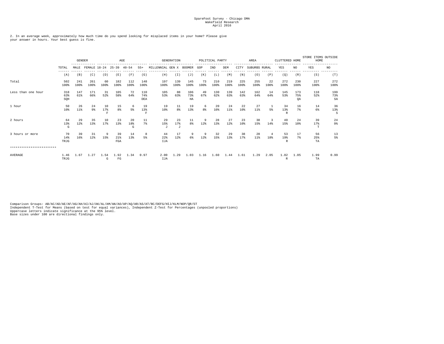2. In an average week, approximately how much time do you spend looking for misplaced items in your home? Please give your answer in hours. Your best guess is fine.

|                           |                   | <b>GENDER</b> |              |                             |                      | AGE            |                   |                       | GENERATION     |                  |                     | POLITICAL PARTY |              |             | AREA          |            | CLUTTERED HOME |                  | STORE ITEMS OUTSIDE<br>HOME |                  |
|---------------------------|-------------------|---------------|--------------|-----------------------------|----------------------|----------------|-------------------|-----------------------|----------------|------------------|---------------------|-----------------|--------------|-------------|---------------|------------|----------------|------------------|-----------------------------|------------------|
|                           | TOTAL<br>------   | MALE          | FEMALE 18-24 |                             | $25 - 39$            | $40 - 54$      | $55+$             | MILLENNIAL GEN X      |                | BOOMER           | GOP                 | IND             | DEM          | CITY        | SUBURBS RURAL |            | YES            | NO               | YES                         | NO               |
|                           | (A)               | (B)           | (C)          | (D)                         | (E)                  | (F)            | (G)               | (H)                   | (T)            | (J)              | (K)                 | (L)             | (M)          | (N)         | (0)           | (P)        | (Q)            | (R)              | (S)                         | (T)              |
| Total                     | 502<br>100%       | 241<br>100%   | 261<br>100%  | 60<br>100%                  | 182<br>100%          | 112<br>100%    | 148<br>100%       | 197<br>100%           | 139<br>100%    | 145<br>100%      | 73<br>100%          | 210<br>100%     | 219<br>100%  | 225<br>100% | 255<br>100%   | 22<br>100% | 272<br>100%    | 230<br>100%      | 227<br>100%                 | 272<br>100%      |
| Less than one hour        | 318<br>63%<br>SQH | 147<br>61%    | 171<br>66%   | 31<br>52%                   | 105<br>58%           | 72<br>64%      | 110<br>74%<br>DEA | 105<br>53%            | 88<br>63%      | 106<br>73%<br>HA | 49<br>67%           | 130<br>62%      | 139<br>63%   | 142<br>63%  | 162<br>64%    | 14<br>64%  | 145<br>53%     | 173<br>75%<br>QA | 118<br>52%                  | 199<br>73%<br>SA |
| 1 hour                    | 50<br>10%         | 26<br>11%     | 24<br>9%     | 10<br>17%<br>$\overline{F}$ | 15<br>8 <sup>8</sup> | 6<br>5%        | 19<br>13%<br>F    | 19<br>10 <sup>8</sup> | 11<br>8%       | 19<br>13%        | 6<br>8 <sup>8</sup> | 20<br>10%       | 24<br>$11$ % | 22<br>10%   | 27<br>11%     | 5%         | 34<br>13%<br>R | 16<br>7%         | 14<br>6%                    | 36<br>13%<br>S   |
| 2 hours                   | 64<br>13%<br>G    | 29<br>12%     | 35<br>13%    | 10<br>17%                   | 23<br>13%            | 20<br>18%<br>G | 11<br>7%          | 29<br>15%<br>- 7      | 23<br>17%<br>J | 11<br>8%         | -9<br>12%           | 28<br>13%       | 27<br>12%    | 23<br>10%   | 38<br>15%     | -3<br>14%  | 40<br>15%      | 24<br>10%        | 39<br>17%<br>T              | 24<br>9%         |
| 3 hours or more           | 70<br>14%<br>TRJG | 39<br>16%     | 31<br>12%    | 9<br>15%                    | 39<br>21%<br>FGA     | 14<br>13%      | 8<br>5%           | 44<br>22%<br>IJA      | 17<br>12%      | 9<br>6%          | 9<br>12%            | 32<br>15%       | 29<br>13%    | 38<br>17%   | 28<br>11%     | 18%        | 53<br>19%<br>R | 17<br>7%         | 56<br>25%<br>TA             | 13<br>5%         |
| ************************* |                   |               |              |                             |                      |                |                   |                       |                |                  |                     |                 |              |             |               |            |                |                  |                             |                  |
| <b>AVERAGE</b>            | 1.46<br>TRJG      | 1.67          | 1.27         | 1.54<br>G                   | 1.92<br>FG           | 1.34           | 0.97              | 2.00<br>IJA           | 1.29           | 1.03             | 1.16                | 1.60            | 1.44         | 1.61        | 1.29          | 2.05       | 1.82<br>R      | 1.05             | 1.99<br>TA                  | 0.99             |

Comparison Groups: AB/AC/AD/AE/AF/AG/AH/AI/AJ/AK/AL/AM/AN/AO/AP/AQ/AR/AS/AT/BC/DEFG/HIJ/KLM/NOP/QR/ST<br>Independent T-Test for Means (based on test for equal variances), Independent Z-Test for Percentages (unpooled proportio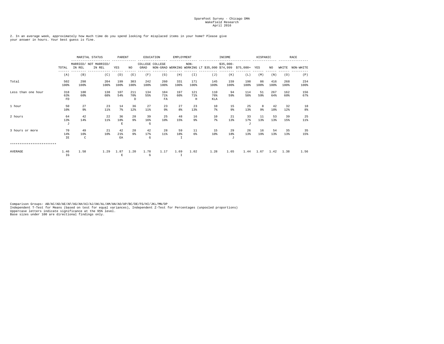2. In an average week, approximately how much time do you spend looking for misplaced items in your home? Please give your answer in hours. Your best guess is fine.

|                           |                       |                      | MARITAL STATUS                  |                          | PARENT               |                           | EDUCATION               | EMPLOYMENT  |                                                                       |                       | INCOME                 |                     | HISPANIC   |                       |             | RACE        |
|---------------------------|-----------------------|----------------------|---------------------------------|--------------------------|----------------------|---------------------------|-------------------------|-------------|-----------------------------------------------------------------------|-----------------------|------------------------|---------------------|------------|-----------------------|-------------|-------------|
|                           | TOTAL                 | IN REL               | MARRIED/ NOT MARRIED/<br>IN REL | YES                      | NO.                  | GRAD                      | COLLEGE COLLEGE         |             | $NON-$<br>NON-GRAD WORKING WORKING LT \$35,000 \$74,999 \$75,000+ YES |                       | $$35,000-$             |                     |            | NO.                   | WHITE       | NON-WHITE   |
|                           | (A)                   | (B)                  | (C)                             | (D)                      | (E)                  | (F)                       | (G)                     | (H)         | (T)                                                                   | (J)                   | (K)                    | (L)                 | (M)        | (N)                   | (0)         | (P)         |
| Total                     | 502<br>100%           | 298<br>100%          | 204<br>100%                     | 199<br>100%              | 303<br>100%          | 242<br>100%               | 260<br>100%             | 331<br>100% | 171<br>100%                                                           | 145<br>100%           | 159<br>100%            | 198<br>100%         | 86<br>100% | 416<br>100%           | 268<br>100% | 234<br>100% |
| Less than one hour        | 318<br>63%<br>FD.     | 180<br>60%           | 138<br>68%                      | 107<br>54%               | 211<br>70%<br>D      | 134<br>55%                | 184<br>71%<br><b>FA</b> | 197<br>60%  | 121<br>71%<br>H                                                       | 110<br>76%<br>KLA     | 94<br>59%              | 114<br>58%          | 51<br>59%  | 267<br>64%            | 162<br>60%  | 156<br>67%  |
| 1 hour                    | 50<br>10%             | 27<br>9 <sub>8</sub> | 23<br>$11$ %                    | 14<br>$7\%$              | 36<br>12%            | 27<br>$11$ %              | 23<br>9%                | 27<br>8%    | 23<br>13%                                                             | 10<br>7%              | 15<br>$9\%$            | 25<br>13%           | 8<br>9%    | 42<br>10 <sup>8</sup> | 32<br>12%   | 18<br>8%    |
| 2 hours                   | 64<br>13%<br>$\sigma$ | 42<br>14%            | 22<br>11%                       | 36<br>18%<br>$\mathbf E$ | 28<br>9%             | 39<br>16%<br>$\mathsf{G}$ | 25<br>10 <sup>8</sup>   | 48<br>15%   | 16<br>9 <sub>8</sub>                                                  | 10<br>7%              | 21<br>13%              | 33<br>17%<br>$\tau$ | 11<br>13%  | 53<br>13%             | 39<br>15%   | 25<br>11%   |
| 3 hours or more           | 70<br>14%<br>IE       | 49<br>16%<br>C       | 21<br>10 <sup>8</sup>           | 42<br>21%<br>EA          | 28<br>9 <sub>8</sub> | 42<br>17%<br>$\mathsf{G}$ | 28<br>$11$ %            | 59<br>18%   | 11<br>6%                                                              | 15<br>10 <sup>8</sup> | 29<br>18%<br>$\cdot$ T | 26<br>13%           | 16<br>19%  | 54<br>13%             | 35<br>13%   | 35<br>15%   |
| ************************* |                       |                      |                                 |                          |                      |                           |                         |             |                                                                       |                       |                        |                     |            |                       |             |             |
| AVERAGE                   | 1.46<br>IG            | 1.58                 | 1.29                            | 1.87<br>$\mathbf{E}$     | 1.20                 | 1.78<br>G                 | 1.17                    | 1.69        | 1.02                                                                  | 1.28                  | 1.65                   | 1.44                | 1.67       | 1.42                  | 1.38        | 1.56        |

Comparison Groups: AB/AC/AD/AE/AF/AG/AH/AI/AJ/AK/AL/AM/AN/AO/AP/BC/DE/FG/HI/JKL/MN/OP<br>Independent T-Test for Means (based on test for equal variances), Independent Z-Test for Percentages (unpooled proportions)<br>Uppercase le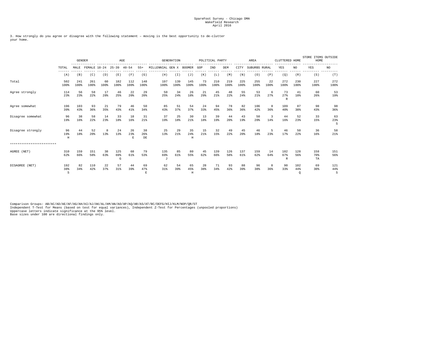3. How strongly do you agree or disagree with the following statement – moving is the best opportunity to de-clutter your home.

|                           |                 | <b>GENDER</b> |              |            | AGE             |                |                 |                         | <b>GENERATION</b> |                         |            | POLITICAL PARTY |             |             | AREA          |                       | CLUTTERED HOME            |                       | STORE ITEMS OUTSIDE<br>HOME |                 |
|---------------------------|-----------------|---------------|--------------|------------|-----------------|----------------|-----------------|-------------------------|-------------------|-------------------------|------------|-----------------|-------------|-------------|---------------|-----------------------|---------------------------|-----------------------|-----------------------------|-----------------|
|                           | TOTAL           | MALE          | FEMALE 18-24 |            | $25 - 39$       | $40 - 54$      | $55+$           | MILLENNIAL GEN X BOOMER |                   |                         | GOP        | IND             | DEM         | CITY        | SUBURBS RURAL |                       | YES                       | NO.                   | YES                         | NO              |
|                           | (A)             | (B)           | (C)          | (D)        | (E)             | (F)            | (G)             | (H)                     | (T)               | (J)                     | (K)        | (L)             | (M)         | (N)         | (0)           | (P)                   | (Q)                       | (R)                   | (S)                         | (T)             |
| Total                     | 502<br>100%     | 241<br>100%   | 261<br>100%  | 60<br>100% | 182<br>100%     | 112<br>100%    | 148<br>100%     | 197<br>100%             | 139<br>100%       | 145<br>100%             | 73<br>100% | 210<br>100%     | 219<br>100% | 225<br>100% | 255<br>100%   | 22<br>100%            | 272<br>100%               | 230<br>100%           | 227<br>100%                 | 272<br>100%     |
| Agree strongly            | 114<br>23%      | 56<br>23%     | 58<br>22%    | 17<br>28%  | 46<br>25%       | 22<br>20%      | 29<br>20%       | 50<br>25%               | 34<br>24%         | 26<br>18%               | 21<br>29%  | 45<br>21%       | 48<br>22%   | 55<br>24%   | 53<br>21%     | -6<br>27%             | 73<br>27%<br>$\mathbb{R}$ | 41<br>18%             | 60<br>26%                   | 53<br>19%       |
| Agree somewhat            | 196<br>39%      | 103<br>43%    | 93<br>36%    | 21<br>35%  | 79<br>43%       | 46<br>41%      | 50<br>34%       | 85<br>43%               | 51<br>37%         | 54<br>37%               | 24<br>33%  | 94<br>45%       | 78<br>36%   | 82<br>36%   | 106<br>42%    | 8<br>36%              | 109<br>40%                | 87<br>38%             | 98<br>43%                   | 98<br>36%       |
| Disagree somewhat         | 96<br>19%       | 38<br>16%     | 58<br>22%    | 14<br>23%  | 33<br>18%       | 18<br>16%      | 31<br>21%       | 37<br>19%               | 25<br>18%         | 30<br>21%               | 13<br>18%  | 39<br>19%       | 44<br>20%   | 43<br>19%   | 50<br>20%     | $\overline{3}$<br>14% | 44<br>16%                 | 52<br>23%             | 33<br>15%                   | 63<br>23%<br>S  |
| Disagree strongly         | 96<br>19%<br>H  | 44<br>18%     | 52<br>20%    | 8<br>13%   | 24<br>13%       | 26<br>23%<br>E | 38<br>26%<br>DE | 25<br>13%               | 29<br>21%         | 35<br>24%<br>$_{\rm H}$ | 15<br>21%  | 32<br>15%       | 49<br>22%   | 45<br>20%   | 46<br>18%     | -5<br>23%             | 46<br>17%                 | 50<br>22%             | 36<br>16%                   | 58<br>21%       |
| ************************* |                 |               |              |            |                 |                |                 |                         |                   |                         |            |                 |             |             |               |                       |                           |                       |                             |                 |
| AGREE (NET)               | 310<br>62%      | 159<br>66%    | 151<br>58%   | 38<br>63%  | 125<br>69%<br>G | 68<br>61%      | 79<br>53%       | 135<br>69%<br>J         | 85<br>61%         | 80<br>55%               | 45<br>62%  | 139<br>66%      | 126<br>58%  | 137<br>61%  | 159<br>62%    | 14<br>64%             | 182<br>67%<br>R           | 128<br>56%            | 158<br>70%<br>TA            | 151<br>56%      |
| DISAGREE (NET)            | 192<br>38%<br>S | 82<br>34%     | 110<br>42%   | 22<br>37%  | 57<br>31%       | 44<br>39%      | 69<br>47%<br>E  | 62<br>31%               | 54<br>39%         | 65<br>45%<br>$\rm H$    | 28<br>38%  | 71<br>34%       | 93<br>42%   | 88<br>39%   | 96<br>38%     | 8<br>36%              | 90<br>33%                 | 102<br>44%<br>$\circ$ | 69<br>30%                   | 121<br>44%<br>S |

Comparison Groups: AB/AC/AD/AE/AF/AG/AH/AI/AJ/AK/AL/AM/AN/AO/AP/AQ/AR/AS/AT/BC/DEFG/HIJ/KLM/NOP/QR/ST<br>Independent T-Test for Means (based on test for equal variances), Independent Z-Test for Percentages (unpooled proportio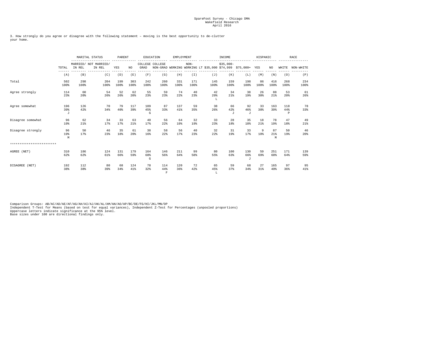3. How strongly do you agree or disagree with the following statement – moving is the best opportunity to de-clutter your home.

|                           |                         |             | MARITAL STATUS<br>PARENT<br>MARRIED/ NOT MARRIED/ |             |             |                            | EDUCATION                             | EMPLOYMENT  |             |                                                             | INCOME              |                        | HISPANIC   |                |                 | RACE        |
|---------------------------|-------------------------|-------------|---------------------------------------------------|-------------|-------------|----------------------------|---------------------------------------|-------------|-------------|-------------------------------------------------------------|---------------------|------------------------|------------|----------------|-----------------|-------------|
|                           | TOTAL                   | IN REL      | IN REL                                            | YES         | NO.         | GRAD                       | COLLEGE COLLEGE                       |             | $NON-$      | NON-GRAD WORKING WORKING LT \$35,000 \$74,999 \$75,000+ YES | $$35.000-$          |                        |            | NO.            | WHITE           | NON-WHITE   |
|                           | (A)                     | (B)         | (C)                                               | (D)         | (E)         | (F)                        | (G)                                   | (H)         | (T)         | (J)                                                         | (K)                 | (L)                    | (M)        | (N)            | (0)             | (P)         |
| Total                     | 502<br>100%             | 298<br>100% | 204<br>100%                                       | 199<br>100% | 303<br>100% | 242<br>100%                | 260<br>100%                           | 331<br>100% | 171<br>100% | 145<br>100%                                                 | 159<br>100%         | 198<br>100%            | 86<br>100% | 416<br>100%    | 268<br>100%     | 234<br>100% |
| Agree strongly            | 114<br>23%              | 60<br>20%   | 54<br>26%                                         | 52<br>26%   | 62<br>20%   | 55<br>23%                  | 59<br>23%                             | 74<br>22%   | 40<br>23%   | 42<br>29%<br>L                                              | 34<br>21%           | 38<br>19%              | 26<br>30%  | 88<br>21%      | 53<br>20%       | 61<br>26%   |
| Agree somewhat            | 196<br>39%<br>$\cdot$ T | 126<br>42%  | 70<br>34%                                         | 79<br>40%   | 117<br>39%  | 109<br>45%<br>$\mathsf{G}$ | 87<br>33%                             | 137<br>41%  | 59<br>35%   | 38<br>26%                                                   | 66<br>42%<br>$\tau$ | 92<br>46%<br>$\cdot$ T | 33<br>38%  | 163<br>39%     | 118<br>44%<br>P | 78<br>33%   |
| Disagree somewhat         | 96<br>19%               | 62<br>21%   | 34<br>17%                                         | 33<br>17%   | 63<br>21%   | 40<br>17%                  | 56<br>22%                             | 64<br>19%   | 32<br>19%   | 33<br>23%                                                   | 28<br>18%           | 35<br>18%              | 18<br>21%  | 78<br>19%      | 47<br>18%       | 49<br>21%   |
| Disagree strongly         | 96<br>19%<br>M          | 50<br>17%   | 46<br>23%                                         | 35<br>18%   | 61<br>20%   | 38<br>16%                  | 58<br>22%                             | 56<br>17%   | 40<br>23%   | 32<br>22%                                                   | 31<br>19%           | 33<br>17%              | 9<br>10%   | 87<br>21%<br>M | 50<br>19%       | 46<br>20%   |
| ************************* |                         |             |                                                   |             |             |                            |                                       |             |             |                                                             |                     |                        |            |                |                 |             |
| AGREE (NET)               | 310<br>62%              | 186<br>62%  | 124<br>61%                                        | 131<br>66%  | 179<br>59%  | 164<br>68%<br>$\mathsf{G}$ | 146<br>56%                            | 211<br>64%  | 99<br>58%   | 80<br>55%                                                   | 100<br>63%          | 130<br>66%<br>$\tau$   | 59<br>69%  | 251<br>60%     | 171<br>64%      | 139<br>59%  |
| DISAGREE (NET)            | 192<br>38%              | 112<br>38%  | 80<br>39%                                         | 68<br>34%   | 124<br>41%  | 78<br>32%                  | 114<br>44%<br>$\overline{\mathrm{F}}$ | 120<br>36%  | 72<br>42%   | 65<br>45%<br>т.                                             | 59<br>37%           | 68<br>34%              | 27<br>31%  | 165<br>40%     | 97<br>36%       | 95<br>41%   |

Comparison Groups: AB/AC/AD/AE/AF/AG/AH/AI/AJ/AK/AL/AM/AN/AO/AP/BC/DE/FG/HI/JKL/MN/OP<br>Independent T-Test for Means (based on test for equal variances), Independent Z-Test for Percentages (unpooled proportions)<br>Uppercase le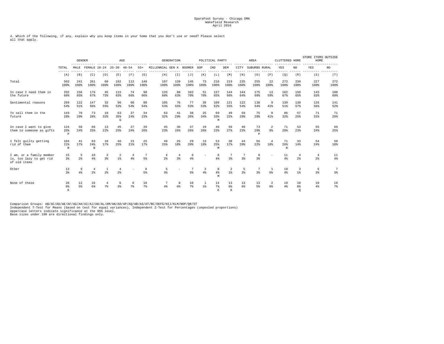4. Which of the following, if any, explain why you keep items in your home that you don't use or need? Please select all that apply.

|                                                                     |                            | $- - - - - -$       | <b>GENDER</b><br>FEMALE 18-24 25-39 40-54 |                                | $\rm{AGE}$                       |                      |             |                       | <b>GENERATION</b>        |                     |                    | POLITICAL PARTY |               |                     | AREA                |                       | CLUTTERED HOME            |                                  | STORE ITEMS OUTSIDE<br>HOME |               |
|---------------------------------------------------------------------|----------------------------|---------------------|-------------------------------------------|--------------------------------|----------------------------------|----------------------|-------------|-----------------------|--------------------------|---------------------|--------------------|-----------------|---------------|---------------------|---------------------|-----------------------|---------------------------|----------------------------------|-----------------------------|---------------|
|                                                                     | TOTAL                      | MALE                |                                           |                                |                                  |                      | $55+$       | MILLENNIAL GEN X      |                          | <b>BOOMER</b>       | GOP                | IND             | DEM           | CITY                | SUBURBS RURAL       |                       | YES                       | NO.                              | YES                         | NO.           |
|                                                                     | $- - - - -$<br>(A)         | (B)                 | (C)                                       | (D)                            | (E)                              | (F)                  | (G)         | (H)                   | (I)                      | (J)                 | (K)                | (L)             | (M)           | (N)                 | (0)                 | (P)                   | (Q)                       | (R)                              | (S)                         | ------<br>(T) |
| Total                                                               | 502<br>100%                | 241<br>100%         | 261<br>100%                               | 60<br>100%                     | 182<br>100%                      | 112<br>100%          | 148<br>100% | 197<br>100%           | 139<br>100%              | 145<br>100%         | 73<br>100%         | 210<br>100%     | 219<br>100%   | 225<br>100%         | 255<br>100%         | 22<br>100%            | 272<br>100%               | 230<br>100%                      | 227<br>100%                 | 272<br>100%   |
| In case I need them in<br>the future                                | 332<br>66%                 | 156<br>65%          | 176<br>67%                                | 45<br>75%                      | 115<br>63%                       | 74<br>66%            | 98<br>66%   | 133<br>68%            | 88<br>63%                | 102<br>70%          | 51<br>70%          | 137<br>65%      | 144<br>66%    | 144<br>64%          | 175<br>69%          | 13<br>59%             | 182<br>67%                | 150<br>65%                       | 143<br>63%                  | 188<br>69%    |
| Sentimental reasons                                                 | 269<br>54%                 | 122<br>51%          | 147<br>56%                                | 33<br>55%                      | 96<br>53%                        | 60<br>54%            | 80<br>54%   | 105<br>53%            | 76<br>55%                | 77<br>53%           | 39<br>53%          | 109<br>52%      | 121<br>55%    | 122<br>54%          | 138<br>54%          | 9<br>41%              | 139<br>51%                | 130<br>57%                       | 126<br>56%                  | 141<br>52%    |
| To sell them in the<br>future                                       | 143<br>28%                 | 70<br>29%           | 73<br>28%                                 | 19<br>32%                      | 63<br>35%<br>G                   | 27<br>24%            | 34<br>23%   | 63<br>32%             | 41<br>29%                | 38<br>26%           | 25<br>34%          | 69<br>33%<br>M  | 49<br>22%     | 59<br>26%           | 75<br>29%           | 9<br>41%              | 86<br>32%                 | 57<br>25%                        | 71<br>31%                   | 71<br>26%     |
| In case I want to give<br>them to someone as gifts                  | 124<br>25%<br>P            | 58<br>24%           | 66<br>25%                                 | 13<br>22%                      | 45<br>25%                        | 27<br>24%            | 39<br>26%   | 45<br>23%             | 36<br>26%                | 37<br>26%           | 19<br>26%          | 46<br>22%       | 59<br>27%     | 49<br>22%           | 73<br>29%<br>P      | 2<br>9%               | 71<br>26%                 | 53<br>23%                        | 55<br>24%                   | 69<br>25%     |
| I felt quilty getting<br>rid of them                                | 104<br>21%<br>$\mathbb{R}$ | 41<br>17%           | 63<br>24%<br>$\,$ B                       | 10<br>17%                      | 46<br>25%                        | 23<br>21%            | 25<br>17%   | 49<br>25%             | 25<br>18%                | 29<br>20%           | 13<br>18%          | 53<br>25%<br>M  | 38<br>17%     | 44<br>20%           | 56<br>22%           | 4<br>18%              | 71<br>26%<br>$\mathbb{R}$ | 33<br>14%                        | 54<br>24%                   | 50<br>18%     |
| I am, or a family member<br>is, too lazy to get rid<br>of old items | 15<br>3 <sup>8</sup>       | 5<br>2 <sup>8</sup> | 10<br>4%                                  | $\overline{a}$<br>3%           | $\overline{2}$<br>1%             | $\overline{4}$<br>4% | 7<br>5%     | $\overline{4}$<br>2.8 | $\overline{4}$<br>3%     | 6<br>4%             |                    | 8<br>4%         | 7<br>3%       | 7<br>3%             | 8<br>3%             |                       | 11<br>4%                  | $\overline{4}$<br>2 <sup>8</sup> | $^{4}$<br>2 <sup>8</sup>    | 11<br>$4\%$   |
| Other                                                               | 13<br>3%                   | 9<br>4%             | $\overline{4}$<br>2 <sup>8</sup>          | $\mathbf{1}$<br>2 <sup>8</sup> | $\overline{4}$<br>2 <sup>8</sup> |                      | 8<br>5%     | 5<br>$3\frac{6}{9}$   | $\overline{\phantom{a}}$ | 7<br>5 <sup>8</sup> | 3<br>$4\%$         | 8<br>$4\%$<br>M | 2<br>$1$ %    | 5<br>2 <sup>8</sup> | 7<br>3 <sup>8</sup> | <sup>1</sup><br>$5\%$ | 10<br>4%                  | 3<br>$1*$                        | 6<br>3%                     | 7<br>3%       |
| None of these                                                       | 28<br>6%<br>K              | 12<br>5%            | 16<br>6%                                  | $\overline{4}$<br>7%           | 6<br>3                           | 7%                   | 10<br>7%    | 4%                    | 8<br>6%                  | 10<br>7%            | 1<br>$1$ $\approx$ | 14<br>7%<br>K   | 13<br>6%<br>K | 13<br>6%            | 13<br>5%            | 2<br>9%               | 10<br>4%                  | 18<br>8%<br>$\circ$              | 10<br>$4\%$                 | 18<br>7%      |

Comparison Groups: AB/AC/AD/AE/AF/AG/AH/AI/AJ/AK/AL/AM/AN/AO/AP/AQ/AR/AS/AT/BC/DEFG/HIJ/KLM/NOP/QR/ST<br>Independent T-Test for Means (based on test for equal variances), Independent Z-Test for Percentages (unpooled proportio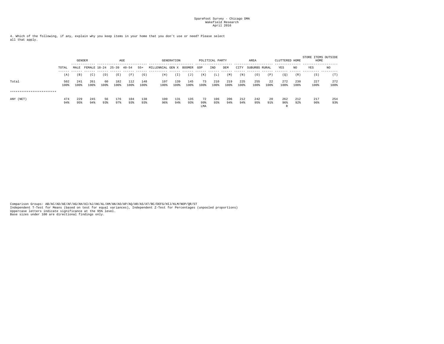4. Which of the following, if any, explain why you keep items in your home that you don't use or need? Please select all that apply.

|                           |               |             | AGE<br><b>GENDER</b><br>--------------<br>FEMALE 18-24 |            |             |             |             |                | <b>GENERATION</b> |               |                  | POLITICAL PARTY |             |             | AREA          |            | CLUTTERED HOME  |             | STORE ITEMS OUTSIDE<br>HOME |             |
|---------------------------|---------------|-------------|--------------------------------------------------------|------------|-------------|-------------|-------------|----------------|-------------------|---------------|------------------|-----------------|-------------|-------------|---------------|------------|-----------------|-------------|-----------------------------|-------------|
|                           | TOTAL         | MALE        |                                                        |            | $25 - 39$   | $40 - 54$   | $55+$       | MILLENNIAL GEN |                   | <b>BOOMER</b> | GOP              | IND             | DEM         | CITY        | SUBURBS RURAL |            | YES             | NO.         | YES                         | NO.         |
|                           | ------<br>(A) | (B)         | (C)                                                    | (D)        | (E)         | (F)         | (G)         | (H)            | (T)               | ( J           | (K)              | (L)             | (M)         | (N)         | (0)           | (P)        | (0)             | (R)         | (S)                         | (T)         |
| Total                     | 502<br>100%   | 241<br>100% | 261<br>100%                                            | 60<br>100% | 182<br>100% | 112<br>100% | 148<br>100% | 197<br>100%    | 139<br>100%       | 145<br>100%   | 73<br>100%       | 210<br>100%     | 219<br>100% | 225<br>100% | 255<br>100%   | 22<br>100% | 272<br>100%     | 230<br>100% | 227<br>100%                 | 272<br>100% |
| ************************* |               |             |                                                        |            |             |             |             |                |                   |               |                  |                 |             |             |               |            |                 |             |                             |             |
| ANY (NET)                 | 474<br>94%    | 229<br>95%  | 245<br>94%                                             | 56<br>93%  | 176<br>97%  | 104<br>93%  | 138<br>93%  | 190<br>96%     | 131<br>94%        | 135<br>93%    | 72<br>99%<br>LMA | 196<br>93%      | 206<br>94%  | 212<br>94%  | 242<br>95%    | 20<br>91%  | 262<br>96%<br>R | 212<br>92%  | 217<br>96%                  | 254<br>93%  |

Comparison Groups: AB/AC/AD/AE/AF/AG/AH/AI/AJ/AK/AL/AM/AN/AO/AP/AQ/AR/AS/AT/BC/DEFG/HIJ/KLM/NOP/QR/ST<br>Independent T-Test for Means (based on test for equal variances), Independent Z-Test for Percentages (unpooled proportio Base sizes under 100 are directional findings only.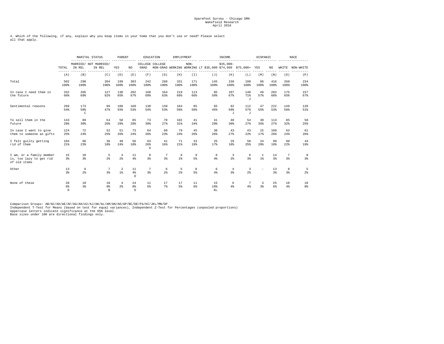4. Which of the following, if any, explain why you keep items in your home that you don't use or need? Please select all that apply.

|                                                                     |                      | MARITAL STATUS              |                                 | PARENT                 |                |                       | EDUCATION           | EMPLOYMENT          |                      |                  | INCOME                |                                                             | HISPANIC             |             |             | <b>RACE</b>          |
|---------------------------------------------------------------------|----------------------|-----------------------------|---------------------------------|------------------------|----------------|-----------------------|---------------------|---------------------|----------------------|------------------|-----------------------|-------------------------------------------------------------|----------------------|-------------|-------------|----------------------|
|                                                                     | TOTAL                | IN REL                      | MARRIED/ NOT MARRIED/<br>IN REL | YES                    | NO.            | GRAD                  | COLLEGE COLLEGE     |                     | $NON-$               |                  | $$35.000-$            | NON-GRAD WORKING WORKING LT \$35,000 \$74,999 \$75,000+ YES |                      | NO.         |             | WHITE NON-WHITE      |
|                                                                     | $- - - - - -$<br>(A) | (B)                         | (C)                             | (D)                    | (E)            | (F)                   | (G)                 | (H)                 | (T)                  | (J)              | (K)                   | (L)                                                         | (M)                  | (N)         | (0)         | (P)                  |
| Total                                                               | 502<br>100%          | 298<br>100%                 | 204<br>100%                     | 199<br>100%            | 303<br>100%    | 242<br>100%           | 260<br>100%         | 331<br>100%         | 171<br>100%          | 145<br>100%      | 159<br>100%           | 198<br>100%                                                 | 86<br>100%           | 416<br>100% | 268<br>100% | 234<br>100%          |
| In case I need them in<br>the future                                | 332<br>66%           | 205<br>69%                  | 127<br>62%                      | 130<br>65%             | 202<br>67%     | 168<br>69%            | 164<br>63%          | 219<br>66%          | 113<br>66%           | 85<br>59%        | 107<br>67%            | 140<br>71%<br>$\cdot$ T                                     | 49<br>57%            | 283<br>68%  | 175<br>65%  | 157<br>67%           |
| Sentimental reasons                                                 | 269<br>54%           | 173<br>58%<br>$\mathcal{C}$ | 96<br>47%                       | 109<br>55%             | 160<br>53%     | 130<br>54%            | 139<br>53%          | 184<br>56%          | 85<br>50%            | 65<br>45%        | 92<br>58%<br>$\sigma$ | 112<br>57%<br>J                                             | 47<br>55%            | 222<br>53%  | 149<br>56%  | 120<br>51%           |
| To sell them in the<br>future                                       | 143<br>28%           | 89<br>30%                   | 54<br>26%                       | 58<br>29%              | 85<br>28%      | 73<br>30 <sup>8</sup> | 70<br>27%           | 102<br>31%          | 41<br>24%            | 41<br>28%        | 48<br>30%             | 54<br>27%                                                   | 30<br>35%            | 113<br>27%  | 85<br>32%   | 58<br>25%            |
| In case I want to give<br>them to someone as gifts                  | 124<br>25%           | 72<br>24%                   | 52<br>25%                       | 51<br>26%              | 73<br>24%      | 64<br>26%             | 60<br>23%           | 79<br>24%           | 45<br>26%            | 38<br>26%        | 43<br>27%             | 43<br>22%                                                   | 15<br>17%            | 109<br>26%  | 63<br>24%   | 61<br>26%            |
| I felt quilty getting<br>rid of them                                | 104<br>21%           | 68<br>23%                   | 36<br>18%                       | 48<br>24%              | 56<br>18%      | 63<br>26%<br>G        | 41<br>16%           | 71<br>21%           | 33<br>19%            | 25<br>17%        | 29<br>18%             | 50<br>25%                                                   | 24<br>28%            | 80<br>19%   | 60<br>2.2%  | 44<br>19%            |
| I am, or a family member<br>is, too lazy to get rid<br>of old items | 15<br>3 <sup>8</sup> | 10<br>3%                    | -5<br>$2*$                      | $\overline{4}$<br>$2*$ | 11<br>4%       | 8<br>3%               | 7<br>3%             | 6<br>2 <sup>8</sup> | 9<br>5%              | 6<br>4%          | 3<br>2.8              | 6<br>3%                                                     | $\overline{1}$<br>1% | 14<br>3     | 7<br>3%     | -8<br>3%             |
| Other                                                               | 13<br>3%             | 6<br>2 <sup>8</sup>         | 7<br>3 <sup>8</sup>             | 2<br>$1$ $\delta$      | 11<br>4%<br>D. | 7<br>3 <sup>8</sup>   | 6<br>2 <sup>8</sup> | 5<br>2 <sup>8</sup> | 8<br>$5\%$           | 6<br>4%          | $\overline{4}$<br>3%  | 3<br>2 <sup>8</sup>                                         |                      | 13<br>3%    | 8<br>3      | -5<br>2 <sup>8</sup> |
| None of these                                                       | 28<br>6%<br>D.       | 10<br>3%                    | 18<br>9%<br>$\mathbb{R}$        | 4<br>2 <sup>8</sup>    | 24<br>8%<br>D. | 11<br>5%              | 17<br>7%            | 17<br>5%            | 11<br>6 <sup>8</sup> | 15<br>10%<br>KT. | 6<br>4%               | 7<br>4%                                                     | 3<br>3%              | 25<br>6%    | 10<br>4%    | 18<br>8 <sup>8</sup> |

Comparison Groups: AB/AC/AD/AE/AF/AG/AH/AI/AJ/AK/AL/AM/AN/AO/AP/BC/DE/FG/HI/JKL/MN/OP<br>Independent T-Test for Means (based on test for equal variances), Independent Z-Test for Percentages (unpooled proportions)<br>Uppercase le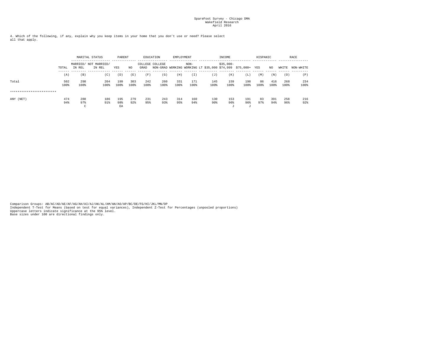4. Which of the following, if any, explain why you keep items in your home that you don't use or need? Please select all that apply.

|                           |             |                      | MARITAL STATUS                  | PARENT           |             |                         | EDUCATION   | EMPLOYMENT  |             |                                                             | INCOME           |                    | HISPANIC   |             |             | RACE        |
|---------------------------|-------------|----------------------|---------------------------------|------------------|-------------|-------------------------|-------------|-------------|-------------|-------------------------------------------------------------|------------------|--------------------|------------|-------------|-------------|-------------|
|                           | TOTAL       | IN REL               | MARRIED/ NOT MARRIED/<br>IN REL | YES              | NO.         | COLLEGE COLLEGE<br>GRAD |             |             | $NON-$      | NON-GRAD WORKING WORKING LT \$35,000 \$74,999 \$75,000+ YES | $$35.000-$       |                    |            | NO          | WHITE       | NON-WHITE   |
|                           | (A)         | (B)                  | (C)                             | (D)              | (E)         | (F)                     | (G)         | (H)         | (I)         | (J)                                                         | (K)              | (L)                | (M)        | (N)         | (0)         | (P)         |
| Total                     | 502<br>100% | 298<br>100%          | 204<br>100%                     | 199<br>100%      | 303<br>100% | 242<br>100%             | 260<br>100% | 331<br>100% | 171<br>100% | 145<br>100%                                                 | 159<br>100%      | 198<br>100%        | 86<br>100% | 416<br>100% | 268<br>100% | 234<br>100% |
| ************************* |             |                      |                                 |                  |             |                         |             |             |             |                                                             |                  |                    |            |             |             |             |
| ANY (NET)                 | 474<br>94%  | 288<br>97%<br>$\sim$ | 186<br>91%                      | 195<br>98%<br>EA | 279<br>92%  | 231<br>95%              | 243<br>93%  | 314<br>95%  | 160<br>94%  | 130<br>90%                                                  | 153<br>96%<br>л. | 191<br>96%<br>- 11 | 83<br>97%  | 391<br>94%  | 258<br>96%  | 216<br>92%  |

Comparison Groups: AB/AC/AD/AE/AF/AG/AH/AI/AJ/AK/AL/AM/AN/AO/AP/BC/DE/FG/HI/JKL/MN/OP<br>Independent T-Test for Means (based on test for equal variances), Independent Z-Test for Percentages (unpooled proportions)<br>Uppercase le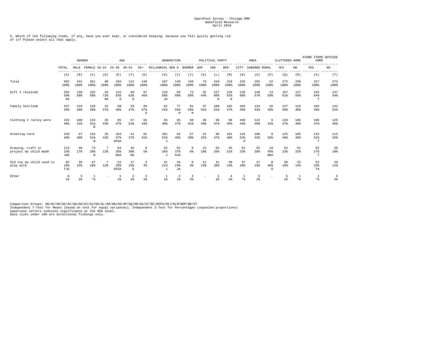5. Which of the following items, if any, have you ever kept, or considered keeping, because you felt guilty getting rid of it? Please select all that apply.

|                                            |                           | $- - - - -$         | <b>GENDER</b>            |                 | AGE                     |                     |                     |                         | <b>GENERATION</b>        |                          |            | POLITICAL PARTY   |                      |                        | AREA                |                         | CLUTTERED HOME |             | STORE ITEMS OUTSIDE<br>HOME |                     |
|--------------------------------------------|---------------------------|---------------------|--------------------------|-----------------|-------------------------|---------------------|---------------------|-------------------------|--------------------------|--------------------------|------------|-------------------|----------------------|------------------------|---------------------|-------------------------|----------------|-------------|-----------------------------|---------------------|
|                                            | TOTAL                     | MALE                | FEMALE 18-24             |                 | $25 - 39$               | $40 - 54$           | $55+$               | MILLENNIAL GEN X        |                          | <b>BOOMER</b>            | GOP        | IND               | DEM                  | CITY                   | SUBURBS RURAL       |                         | YES            | NO.         | <b>YES</b>                  | NO                  |
|                                            | (A)                       | (B)                 | (C)                      | (D)             | (E)                     | (F)                 | (G)                 | (H)                     | (T)                      | (J)                      | (K)        | (L)               | (M)                  | (N)                    | (0)                 | (P)                     | (Q)            | (R)         | (S)                         | (T)                 |
| Total                                      | 502<br>100%               | 241<br>100%         | 261<br>100%              | 60<br>100%      | 182<br>100%             | 112<br>100%         | 148<br>100%         | 197<br>100%             | 139<br>100%              | 145<br>100%              | 73<br>100% | 210<br>100%       | 219<br>100%          | 225<br>100%            | 255<br>100%         | 22<br>100%              | 272<br>100%    | 230<br>100% | 227<br>100%                 | 272<br>100%         |
| Gift I received                            | 294<br>59%<br>$_{\rm KG}$ | 139<br>58%          | 155<br>59%               | 43<br>72%<br>GA | 115<br>63%<br>G         | 69<br>62%<br>G      | 67<br>45%           | 133<br>68%<br><b>JA</b> | 83<br>60%                | 72<br>50%                | 32<br>44%  | 127<br>60%<br>К   | 135<br>62%<br>$\,$ K | 135<br>60%             | 146<br>57%          | 13<br>59%               | 167<br>61%     | 127<br>55%  | 145<br>64%<br>T             | 147<br>54%          |
| Family heirloom                            | 247<br>49%                | 119<br>49%          | 128<br>49%               | 22<br>37%       | 88<br>48%               | 53<br>47%           | 84<br>57%<br>D      | 81<br>41%               | 77<br>55%<br>$\mathbf H$ | 81<br>56%<br>$\mathbf H$ | 37<br>51%  | 108<br>51%        | 102<br>47%           | 103<br>46%             | 134<br>53%          | 10<br>45%               | 137<br>50%     | 110<br>48%  | 104<br>46%                  | 141<br>52%          |
| Clothing I rarely wore                     | 233<br>46%                | 100<br>41%          | 133<br>51%<br>B          | 26<br>43%       | 85<br>47%               | 57<br>51%           | 65<br>44%           | 95<br>48%               | 65<br>47%                | 60<br>41%                | 36<br>49%  | 99<br>47%         | 98<br>45%            | 100<br>44%             | 124<br>49%          | 9<br>41%                | 128<br>47%     | 105<br>46%  | 106<br>47%                  | 125<br>46%          |
| Greeting card                              | 230<br>46%                | 97<br>40%           | 133<br>51%<br>B          | 25<br>42%       | 103<br>57%<br>DFGA      | 41<br>37%           | 61<br>41%           | 101<br>51%<br>$\sigma$  | 62<br>45%                | 57<br>39%                | 31<br>42%  | 98<br>47%         | 101<br>46%           | 116<br>52%<br>$\Omega$ | 106<br>42%          | 8<br>36%                | 125<br>46%     | 105<br>46%  | 115<br>51%<br>T             | 113<br>42%          |
| Drawing, craft or<br>project my child made | 113<br>23%<br><b>JGD</b>  | 40<br>17%           | 73<br>28%<br>$\mathbf B$ | 7<br>12%        | 64<br>35%<br><b>DGA</b> | 34<br>30%<br>DG     | 8<br>5%             | 52<br>26%<br>$\cdot$ T  | 52<br>37%<br>HJA         | 8<br>6%                  | 13<br>18%  | 55<br>26%         | 45<br>21%            | 51<br>23%              | 52<br>20%           | 10<br>45%<br><b>NOA</b> | 62<br>23%      | 51<br>22%   | 62<br>27%<br>$\mathbf T$    | 50<br>18%           |
| Old toy my child used to<br>play with      | 82<br>16%<br>TJG          | 35<br>15%           | 47<br>18%                | 7<br>12%        | 52<br>29%<br>DFGA       | 17<br>15%<br>G      | 6<br>4%             | 41<br>21%<br>$\cdot$ T  | 34<br>24%<br><b>JA</b>   | 6<br>4%                  | 11<br>15%  | 41<br>20%         | 30<br>14%            | 37<br>16%              | 37<br>15%           | 8<br>36%<br>$\cap$      | 50<br>18%      | 32<br>14%   | 52<br>23%<br>TA             | 29<br>$11$ %        |
| Other                                      | 6<br>1                    | 5<br>2 <sub>8</sub> | * &                      |                 | $1$ $\ast$              | 2<br>2 <sup>8</sup> | 3<br>2 <sup>8</sup> | 1%                      | $\overline{2}$<br>1%     | 3<br>2 <sup>8</sup>      |            | $1$ $\frac{6}{5}$ | 2.8                  | **                     | 5<br>2 <sup>8</sup> |                         | 2 <sup>8</sup> | $*$ &       | 1<br>$*$ %                  | 5<br>2 <sup>8</sup> |

Comparison Groups: AB/AC/AD/AE/AF/AG/AH/AI/AJ/AK/AL/AM/AN/AO/AP/AQ/AR/AS/AT/BC/DEFG/HIJ/KLM/NOP/QR/ST<br>Independent T-Test for Means (based on test for equal variances), Independent Z-Test for Percentages (unpooled proportio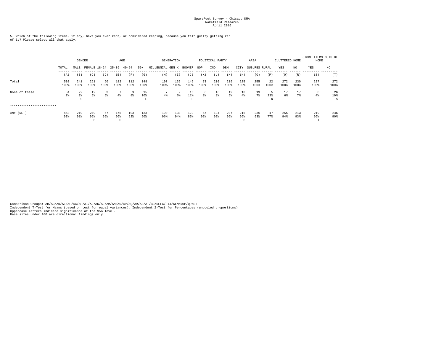5. Which of the following items, if any, have you ever kept, or considered keeping, because you felt guilty getting rid of it? Please select all that apply.

|                           |                    | ------      | <b>GENDER</b><br>AGE<br>FEMALE 18-24<br>$25 - 39$<br>$40 - 54$<br>$55+$ |            |                 |             | <b>GENERATION</b> |                         |             | POLITICAL PARTY |            |             | AREA        |                 | CLUTTERED HOME |            | STORE ITEMS OUTSIDE<br>HOME |             |                 |                |
|---------------------------|--------------------|-------------|-------------------------------------------------------------------------|------------|-----------------|-------------|-------------------|-------------------------|-------------|-----------------|------------|-------------|-------------|-----------------|----------------|------------|-----------------------------|-------------|-----------------|----------------|
|                           | TOTAL<br>$- - - -$ | MALE        |                                                                         |            |                 |             |                   | MILLENNIAL GEN X BOOMER |             |                 | GOP        | IND         | DEM         | CITY            | SUBURBS RURAL  |            | YES                         | NO.         | YES             | NO             |
|                           | (A)                | (B)         | (C)                                                                     | (D)        | (E)             | (F)         | (G)               | (H)                     | (I)         | ( J             | (K)        | (L)         | (M)         | (N)             | (0)            | (P)        | (0)                         | (R)         | (S)             | (T)            |
| Total                     | 502<br>100%        | 241<br>100% | 261<br>100%                                                             | 60<br>100% | 182<br>100%     | 112<br>100% | 148<br>100%       | 197<br>100%             | 139<br>100% | 145<br>100%     | 73<br>100% | 210<br>100% | 219<br>100% | 225<br>100%     | 255<br>100%    | 22<br>100% | 272<br>100%                 | 230<br>100% | 227<br>100%     | 272<br>100%    |
| None of these             | 34<br>$7\%$        | 22<br>9%    | 12<br>5%                                                                | 5%         | 4%              | 8%          | 15<br>10%         | 4%                      | -9<br>$6\%$ | 16<br>11%       | 6<br>8%    | 16<br>8%    | 12<br>5%    | 10<br>$4\%$     | 19<br>7%       | 23%        | 17<br>6%                    | 17<br>7%    | 8<br>$4\,$      | 26<br>10%<br>S |
| ************************* |                    |             |                                                                         |            |                 |             |                   |                         |             |                 |            |             |             |                 |                |            |                             |             |                 |                |
| ANY (NET)                 | 468<br>93%         | 219<br>91%  | 249<br>95%<br>в                                                         | 57<br>95%  | 175<br>96%<br>G | 103<br>92%  | 133<br>90%        | 190<br>96%<br>- 1       | 130<br>94%  | 129<br>89%      | 67<br>92%  | 194<br>92%  | 207<br>95%  | 215<br>96%<br>D | 236<br>93%     | 17<br>77%  | 255<br>94%                  | 213<br>93%  | 219<br>96%<br>m | 246<br>90%     |

Comparison Groups: AB/AC/AD/AE/AF/AG/AH/AI/AJ/AK/AL/AM/AN/AO/AP/AQ/AR/AS/AT/BC/DEFG/HIJ/KLM/NOP/QR/ST<br>Independent T-Test for Means (based on test for equal variances), Independent Z-Test for Percentages (unpooled proportio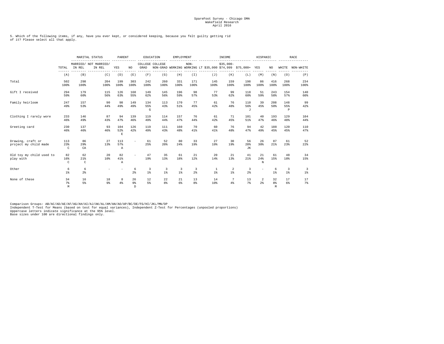5. Which of the following items, if any, have you ever kept, or considered keeping, because you felt guilty getting rid of it? Please select all that apply.

|                                            |                            |                     | MARITAL STATUS                  | PARENT                       |                            |                 | EDUCATION                         | EMPLOYMENT                                     |                      |                                                             | INCOME                            |                        | HISPANIC            |                           |                           | RACE            |
|--------------------------------------------|----------------------------|---------------------|---------------------------------|------------------------------|----------------------------|-----------------|-----------------------------------|------------------------------------------------|----------------------|-------------------------------------------------------------|-----------------------------------|------------------------|---------------------|---------------------------|---------------------------|-----------------|
|                                            | TOTAL                      | IN REL              | MARRIED/ NOT MARRIED/<br>IN REL | YES                          | NO.                        | GRAD            | COLLEGE COLLEGE                   |                                                | $NON-$               | NON-GRAD WORKING WORKING LT \$35,000 \$74,999 \$75,000+ YES | $$35.000-$                        |                        |                     | NO.                       |                           | WHITE NON-WHITE |
|                                            | (A)                        | (B)                 | (C)                             | (D)                          | (E)                        | (F)             | (G)                               | (H)                                            | (T)                  | (J)                                                         | (K)                               | (L)                    | (M)                 | (N)                       | (0)                       | (P)             |
| Total                                      | 502<br>100%                | 298<br>100%         | 204<br>100%                     | 199<br>100%                  | 303<br>100%                | 242<br>100%     | 260<br>100%                       | 331<br>100%                                    | 171<br>100%          | 145<br>100%                                                 | 159<br>100%                       | 198<br>100%            | 86<br>100%          | 416<br>100%               | 268<br>100%               | 234<br>100%     |
| Gift I received                            | 294<br>59%                 | 179<br>60%          | 115<br>56%                      | 126<br>63%                   | 168<br>55%                 | 149<br>62%      | 145<br>56%                        | 196<br>59%                                     | 98<br>57%            | 77<br>53%                                                   | 99<br>62%                         | 118<br>60%             | 51<br>59%           | 243<br>58%                | 154<br>57%                | 140<br>60%      |
| Family heirloom                            | 247<br>49%                 | 157<br>53%          | 90<br>44%                       | 98<br>49%                    | 149<br>49%                 | 134<br>55%<br>G | 113<br>43%                        | 170<br>51%                                     | 77<br>45%            | 61<br>42%                                                   | 76<br>48%                         | 110<br>56%<br>$\sigma$ | 39<br>45%           | 208<br>50%                | 148<br>55%<br>$\mathbb P$ | 99<br>42%       |
| Clothing I rarely wore                     | 233<br>46%                 | 146<br>49%          | 87<br>43%                       | 94<br>47%                    | 139<br>46%                 | 119<br>49%      | 114<br>44%                        | 157<br>47%                                     | 76<br>44%            | 61<br>42%                                                   | 71<br>45%                         | 101<br>51%             | 40<br>47%           | 193<br>46%                | 129<br>48%                | 104<br>44%      |
| Greeting card                              | 230<br>46%                 | 137<br>46%          | 93<br>46%                       | 104<br>52%<br>$\mathbf E$    | 126<br>42%                 | 119<br>49%      | 111<br>43%                        | 160<br>48%                                     | 70<br>41%            | 60<br>41%                                                   | 76<br>48%                         | 94<br>47%              | 42<br>49%           | 188<br>45%                | 120<br>45%                | 110<br>47%      |
| Drawing, craft or<br>project my child made | 113<br>23%<br>$\mathbb{C}$ | 86<br>29%<br>CA     | 27<br>13%                       | 113<br>57%<br>$\overline{A}$ | $\overline{\phantom{a}}$   | 61<br>25%       | 52<br>20%                         | 80<br>24%                                      | 33<br>19%            | 27<br>19%                                                   | 30<br>19%                         | 56<br>28%<br>JК        | 26<br>30%           | 87<br>21%                 | 61<br>23%                 | 52<br>22%       |
| Old toy my child used to<br>play with      | 82<br>16%<br>$\mathbb{C}$  | 62<br>21%<br>C      | 20<br>10%                       | 82<br>41%<br>$\mathbb A$     |                            | 47<br>19%       | 35<br>13%                         | 61<br>18%                                      | 21<br>12%            | 20<br>14%                                                   | 21<br>13%                         | 41<br>21%              | 21<br>24%<br>N      | 61<br>15%                 | 48<br>18%                 | 34<br>15%       |
| Other                                      | 6<br>$1$ %                 | 6<br>2 <sup>8</sup> |                                 |                              | 6<br>2 <sup>8</sup>        | 3<br>$1$ %      | 3<br>$1$ $\overline{\phantom{a}}$ | $\overline{3}$<br>$1$ $\overline{\phantom{a}}$ | 3<br>2 <sup>8</sup>  | 1<br>$1$ %                                                  | 2<br>$1$ $\overline{\phantom{a}}$ | 3<br>2 <sup>8</sup>    |                     | 6<br>$1$ $\delta$         | $\overline{3}$<br>$1$ %   | 3<br>1%         |
| None of these                              | 34<br>$7\%$<br>M           | 16<br>5%            | 18<br>9%                        | 8<br>$4\%$                   | 26<br>9 <sup>8</sup><br>D. | 12<br>$5\%$     | 22<br>8%                          | 21<br>6%                                       | 13<br>8 <sup>8</sup> | 14<br>10%                                                   | 7<br>4%                           | 13<br>7 <sup>8</sup>   | 2<br>2 <sup>8</sup> | 32<br>8 <sup>8</sup><br>M | 17<br>6%                  | 17<br>7%        |

Comparison Groups: AB/AC/AD/AE/AF/AG/AH/AI/AJ/AK/AL/AM/AN/AO/AP/BC/DE/FG/HI/JKL/MN/OP<br>Independent T-Test for Means (based on test for equal variances), Independent Z-Test for Percentages (unpooled proportions)<br>Uppercase le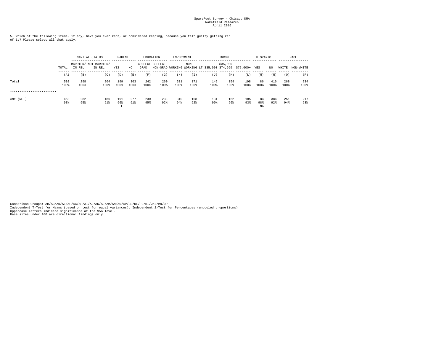5. Which of the following items, if any, have you ever kept, or considered keeping, because you felt guilty getting rid of it? Please select all that apply.

|                           |             |             | MARITAL STATUS                  | PARENT          |             |             | EDUCATION       | EMPLOYMENT  |                                                                       |             | INCOME      |             | HISPANIC        |             |             | RACE        |
|---------------------------|-------------|-------------|---------------------------------|-----------------|-------------|-------------|-----------------|-------------|-----------------------------------------------------------------------|-------------|-------------|-------------|-----------------|-------------|-------------|-------------|
|                           | TOTAL       | IN REL      | MARRIED/ NOT MARRIED/<br>IN REL | YES             | NO.         | GRAD        | COLLEGE COLLEGE |             | $NON-$<br>NON-GRAD WORKING WORKING LT \$35,000 \$74,999 \$75,000+ YES |             | $$35.000-$  |             |                 | NO.         | WHITE       | NON-WHITE   |
|                           | (A)         | (B)         | (C)                             | (D)             | (E)         | (F)         | (G)             | (H)         | (I)                                                                   | (J)         | (K)         | (L)         | (M)             | (N)         | (0)         | (P)         |
| Total                     | 502<br>100% | 298<br>100% | 204<br>100%                     | 199<br>100%     | 303<br>100% | 242<br>100% | 260<br>100%     | 331<br>100% | 171<br>100%                                                           | 145<br>100% | 159<br>100% | 198<br>100% | 86<br>100%      | 416<br>100% | 268<br>100% | 234<br>100% |
| ************************* |             |             |                                 |                 |             |             |                 |             |                                                                       |             |             |             |                 |             |             |             |
| ANY (NET)                 | 468<br>93%  | 282<br>95%  | 186<br>91%                      | 191<br>96%<br>E | 277<br>91%  | 230<br>95%  | 238<br>92%      | 310<br>94%  | 158<br>92%                                                            | 131<br>90%  | 152<br>96%  | 185<br>93%  | 84<br>98%<br>NA | 384<br>92%  | 251<br>94%  | 217<br>93%  |

Comparison Groups: AB/AC/AD/AE/AF/AG/AH/AI/AJ/AK/AL/AM/AN/AO/AP/BC/DE/FG/HI/JKL/MN/OP<br>Independent T-Test for Means (based on test for equal variances), Independent Z-Test for Percentages (unpooled proportions)<br>Uppercase le Base sizes under 100 are directional findings only.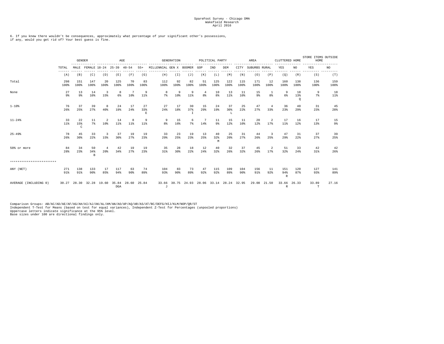6. If you knew there wouldn't be consequences, approximately what percentage of your significant other's possessions, if any, would you get rid of? Your best guess is fine.

|                           |              |                           | <b>GENDER</b><br>FEMALE 18-24 25-39 40-54 |                       | AGE                                  |                      |                |                         | <b>GENERATION</b>    |                                           |            | POLITICAL PARTY |                |                        | AREA          |                      | CLUTTERED HOME       |                      | STORE ITEMS OUTSIDE<br>HOME |               |
|---------------------------|--------------|---------------------------|-------------------------------------------|-----------------------|--------------------------------------|----------------------|----------------|-------------------------|----------------------|-------------------------------------------|------------|-----------------|----------------|------------------------|---------------|----------------------|----------------------|----------------------|-----------------------------|---------------|
|                           | TOTAL        | MALE                      |                                           |                       |                                      |                      | $55+$          | MILLENNIAL GEN X BOOMER |                      |                                           | GOP        | IND             | DEM            | CITY                   | SUBURBS RURAL |                      | YES                  | NO.                  | YES                         | NO.<br>------ |
|                           | (A)          | (B)                       | (C)                                       | (D)                   | (E)                                  | (F)                  | (G)            | (H)                     | (I)                  | (J)                                       | (K)        | (L)             | (M)            | (N)                    | (0)           | (P)                  | (Q)                  | (R)                  | (S)                         | (T)           |
| Total                     | 298<br>100%  | 151<br>100%               | 147<br>100%                               | 20<br>100%            | 125<br>100%                          | 70<br>100%           | 83<br>100%     | 112<br>100%             | 92<br>100%           | 82<br>100%                                | 51<br>100% | 125<br>100%     | 122<br>100%    | 115<br>100%            | 171<br>100%   | 12<br>100%           | 160<br>100%          | 138<br>100%          | 136<br>100%                 | 159<br>100%   |
| None                      | 27<br>9%     | 13<br>9%                  | 14<br>10%                                 | 3<br>15%              | 8<br>6%                              | 7<br>10 <sup>8</sup> | -9<br>$11\%$   | 8<br>7%                 | 9<br>10 <sup>8</sup> | 9<br>$11$ %                               | 4<br>8%    | 10<br>8%        | 13<br>$11$ %   | -11<br>10 <sup>8</sup> | 15<br>9%      | -1<br>8 <sup>8</sup> | -9<br>6%             | 18<br>13%<br>$\circ$ | 9<br>7%                     | 18<br>11%     |
| $1 - 10%$                 | 76<br>26%    | 37<br>25%                 | 39<br>27%                                 | 8<br>40%              | 24<br>19%                            | 17<br>24%            | 27<br>33%<br>Е | 27<br>24%               | 17<br>18%            | 30<br>37%<br>$\mathbb{I}$                 | 15<br>29%  | 24<br>19%       | 37<br>30%<br>L | 25<br>22%              | 47<br>27%     | 4<br>33%             | 36<br>23%            | 40<br>$29$ $*$       | 31<br>23%                   | 45<br>28%     |
| $11 - 24%$                | 33<br>$11$ % | 22<br>15%<br>$\mathsf{C}$ | 11<br>7%                                  | 2<br>10%              | 14<br>$11\%$                         | 8<br>11%             | -9<br>$11\%$   | -9<br>8 <sup>8</sup>    | 15<br>16%            | 6<br>$7\%$                                | 7<br>14%   | 11<br>9%        | 15<br>12%      | -11<br>10%             | 20<br>12%     | 2<br>17%             | 17<br>$11$ %         | 16<br>12%            | 17<br>13%                   | 15<br>9%      |
| $25 - 49%$                | 78<br>26%    | 45<br>30%                 | 33<br>22%                                 | 3<br>15%              | 37<br>30%                            | 19<br>27%            | 19<br>23%      | 33<br>29%               | 23<br>25%            | 19<br>23%                                 | 13<br>25%  | 40<br>32%<br>M  | 25<br>20%      | 31<br>27%              | 44<br>26%     | 3<br>25%             | 47<br>29%            | 31<br>22%            | 37<br>27%                   | 39<br>25%     |
| 50% or more               | 84<br>28%    | 34<br>23%                 | 50<br>34%<br>$\overline{B}$               | $\overline{4}$<br>20% | 42<br>34%                            | 19<br>27%            | 19<br>23%      | 35<br>31%               | 28<br>30%            | 18<br>22%                                 | 12<br>24%  | 40<br>32%       | 32<br>26%      | 37<br>32%              | 45<br>26%     | 2<br>17%             | 51<br>32%            | 33<br>24%            | 42<br>$31\%$                | 42<br>26%     |
| ************************* |              |                           |                                           |                       |                                      |                      |                |                         |                      |                                           |            |                 |                |                        |               |                      |                      |                      |                             |               |
| ANY (NET)                 | 271<br>91%   | 138<br>91%                | 133<br>90%                                | -17<br>85%            | 117<br>94%                           | 63<br>90%            | 74<br>89%      | 104<br>93%              | 83<br>90%            | 73<br>89%                                 | 47<br>92%  | 115<br>92%      | 109<br>89%     | 104<br>90%             | 156<br>91%    | 11<br>92%            | 151<br>94%<br>R      | 120<br>87%           | 127<br>93%                  | 141<br>89%    |
| AVERAGE (INCLUDING 0)     |              |                           |                                           |                       | 30.27 28.30 32.28 19.60 35.84<br>DGA | 28.60 25.84          |                | J                       |                      | 33.66 30.75 24.93 28.06 33.14 28.24 32.95 |            |                 |                |                        |               | 29.08 21.50          | 33.66<br>$\mathbb R$ | 26.33                | 33.89<br>T                  | 27.16         |

Comparison Groups: AB/AC/AD/AE/AF/AG/AH/AI/AJ/AK/AL/AM/AN/AO/AP/AQ/AR/AS/AT/BC/DEFG/HIJ/KLM/NOP/QR/ST<br>Independent T-Test for Means (based on test for equal variances), Independent Z-Test for Percentages (unpooled proportio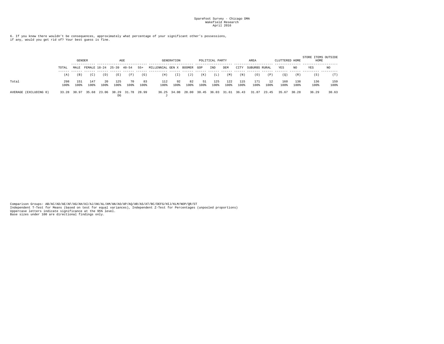6. If you knew there wouldn't be consequences, approximately what percentage of your significant other's possessions, if any, would you get rid of? Your best guess is fine.

|                       |             | <b>GENDER</b> |                    |            | AGE         |                               |            |                         | <b>GENERATION</b> |            |            | POLITICAL PARTY               |             |             | AREA          |            | CLUTTERED HOME |             | STORE ITEMS OUTSIDE<br>HOME |             |
|-----------------------|-------------|---------------|--------------------|------------|-------------|-------------------------------|------------|-------------------------|-------------------|------------|------------|-------------------------------|-------------|-------------|---------------|------------|----------------|-------------|-----------------------------|-------------|
|                       | TOTAL       | MALE.         | FEMALE 18-24 25-39 |            |             | $40 - 54$                     | 55+        | MILLENNIAL GEN X BOOMER |                   |            | GOP        | IND                           | DEM         | CITY        | SUBURBS RURAL |            | YES            | NO.         | YES                         | NO          |
|                       | (A)         | (B)           | (C)                | (D)        | (E)         | (F)                           | (G)        | (H)                     | (T)               | (J)        | (K)        | 'L)                           | (M)         | (N)         | (0)           | (P)        | (0)            | (R)         | (S)                         | (T)         |
| Total                 | 298<br>100% | 151<br>100%   | 147<br>100%        | 20<br>100% | 125<br>100% | 70<br>100%                    | 83<br>100% | 112<br>100%             | 92<br>100%        | 82<br>100% | 51<br>100% | 125<br>100%                   | 122<br>100% | 115<br>100% | 171<br>100%   | 12<br>100% | 160<br>100%    | 138<br>100% | 136<br>100%                 | 159<br>100% |
| AVERAGE (EXCLUDING 0) | 33.28       | 30.97         |                    |            | DG          | 35.68 23.06 38.29 31.78 28.99 |            |                         | 36.25 34.08       |            |            | 28.00 30.45 36.03 31.61 36.43 |             |             | 31.87         | 23.45      | 35.67          | 30.28       | 36.29                       | 30.63       |

Comparison Groups: AB/AC/AD/AE/AF/AG/AH/AI/AJ/AK/AL/AM/AN/AO/AP/AQ/AR/AS/AT/BC/DEFG/HIJ/KLM/NOP/QR/ST<br>Independent T-Test for Means (based on test for equal variances), Independent Z-Test for Percentages (unpooled proportio Base sizes under 100 are directional findings only.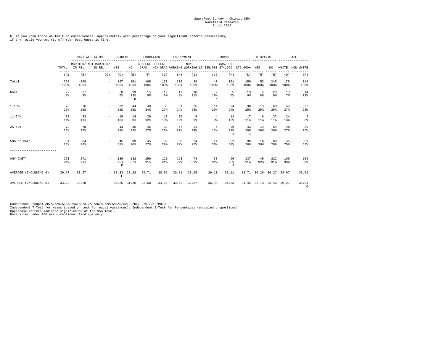6. If you knew there wouldn't be consequences, approximately what percentage of your significant other's possessions, if any, would you get rid of? Your best guess is fine.

|                           |                |             | MARITAL STATUS                  | PARENT                                    |                 |                         | EDUCATION   | EMPLOYMENT  |                     | ----------                                                  | INCOME                 |                       | HISPANIC                |             |             | <b>RACE</b>         |
|---------------------------|----------------|-------------|---------------------------------|-------------------------------------------|-----------------|-------------------------|-------------|-------------|---------------------|-------------------------------------------------------------|------------------------|-----------------------|-------------------------|-------------|-------------|---------------------|
|                           | TOTAL          | IN REL      | MARRIED/ NOT MARRIED/<br>IN REL | YES                                       | NO.             | COLLEGE COLLEGE<br>GRAD |             |             | $NON-$              | NON-GRAD WORKING WORKING LT \$35,000 \$74,999 \$75,000+ YES | $$35.000-$             |                       |                         | NO          |             | WHITE NON-WHITE     |
|                           | (A)            | (B)         | (C)                             | (D)                                       | (E)             | (F)                     | (G)         | (H)         | (I)                 | (J)                                                         | (K)                    | (L)                   | (M)                     | (N)         | (0)         | (P)                 |
| Total                     | 298<br>100%    | 298<br>100% | $\sim$                          | 147<br>100%                               | 151<br>100%     | 165<br>100%             | 133<br>100% | 210<br>100% | 88<br>100%          | 47<br>100%                                                  | 101<br>100%            | 150<br>100%           | 53<br>100%              | 245<br>100% | 179<br>100% | 119<br>100%         |
| None                      | 27<br>9%       | 27<br>9%    | $\sim$                          | 8<br>5%                                   | 19<br>13%<br>D. | 15<br>9%                | 12<br>9%    | 17<br>8%    | 10<br>$11$ %        | 9<br>19%<br>K                                               | -5<br>5%               | 13<br>9%              | $\overline{4}$<br>8%    | 23<br>9%    | 13<br>7%    | 14<br>12%           |
| $1 - 10%$                 | 76<br>26%      | 76<br>26%   | $\overline{\phantom{a}}$        | 32<br>22%                                 | 44<br>29%       | 40<br>24%               | 36<br>27%   | 51<br>24%   | 25<br>28%           | 14<br>30%                                                   | 24<br>24%              | 38<br>25%             | 13<br>25%               | 63<br>26%   | 49<br>27%   | 27<br>23%           |
| $11 - 24%$                | 33<br>$11$ %   | 33<br>11%   | $\sim$                          | 19<br>13%                                 | 14<br>9%        | 20<br>12%               | 13<br>10%   | 25<br>12%   | 8<br>9 <sub>8</sub> | $\overline{4}$<br>9 <sup>8</sup>                            | 12<br>12%              | 17<br>$11$ %          | 6<br>11%                | 27<br>11%   | 24<br>13%   | 9<br>8 <sup>8</sup> |
| $25 - 49%$                | 78<br>26%<br>J | 78<br>26%   | $\sim$                          | 43<br>29%                                 | 35<br>23%       | 45<br>27%               | 33<br>25%   | 57<br>27%   | 21<br>24%           | 6<br>13%                                                    | 29<br>29%<br>$\cdot$ T | 43<br>29%<br>$\sigma$ | 14<br>26%               | 64<br>26%   | 48<br>27%   | 30<br>25%           |
| 50% or more               | 84<br>28%      | 84<br>28%   |                                 | 45<br>31%                                 | 39<br>26%       | 45<br>27%               | 39<br>29%   | 60<br>29%   | 24<br>27%           | 14<br>30%                                                   | 31<br>31%              | 39<br>26%             | 16<br>30%               | 68<br>28%   | 45<br>25%   | 39<br>33%           |
| ************************* |                |             |                                 |                                           |                 |                         |             |             |                     |                                                             |                        |                       |                         |             |             |                     |
| ANY (NET)                 | 271<br>91%     | 271<br>91%  | $ -$                            | 139<br>95%<br>$\mathop{}\!\textnormal{E}$ | 132<br>87%      | 150<br>91%              | 121<br>91%  | 193<br>92%  | 78<br>89%           | 38<br>81%                                                   | 96<br>95%<br>$\cdot$ T | 137<br>91%            | 49<br>92%               | 222<br>91%  | 166<br>93%  | 105<br>88%          |
| AVERAGE (INCLUDING 0)     | 30.27          | 30.27       |                                 | $-33.33$ 27.28<br>E                       |                 | 29.71                   | 30.95       | 30.81       | 28.95               | 29.11                                                       | 33.11                  |                       | 28.71 30.26 30.27 28.07 |             |             | 33.56               |
| AVERAGE (EXCLUDING 0)     | 33.28          | 33.28       |                                 | $-35.25$ 31.20                            |                 | 32.68                   | 34.02       | 33.53       | 32.67               | 36.00                                                       | 34.83                  |                       | 31.44 32.73 33.40 30.27 |             |             | 38.04<br>$\circ$    |

Comparison Groups: AB/AC/AD/AE/AF/AG/AH/AI/AJ/AK/AL/AM/AN/AO/AP/BC/DE/FG/HI/JKL/MN/OP<br>Independent T-Test for Means (based on test for equal variances), Independent Z-Test for Percentages (unpooled proportions)<br>Uppercase le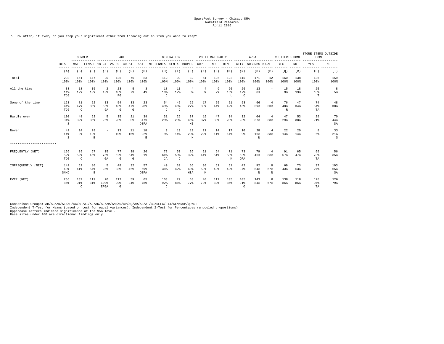7. How often, if ever, do you stop your significant other from throwing out an item you want to keep?

|                           |                     |                           | <b>GENDER</b><br>-------------<br>FEMALE 18-24 25-39 40-54 |                          | AGE<br>----------------- |                |                       | ----------------------  | <b>GENERATION</b> | ---------            |                      | POLITICAL PARTY |                |                        | AREA           | -------               | CLUTTERED HOME            |             | STORE ITEMS OUTSIDE<br>HOME |                      |
|---------------------------|---------------------|---------------------------|------------------------------------------------------------|--------------------------|--------------------------|----------------|-----------------------|-------------------------|-------------------|----------------------|----------------------|-----------------|----------------|------------------------|----------------|-----------------------|---------------------------|-------------|-----------------------------|----------------------|
|                           | TOTAL               | MALE                      |                                                            |                          |                          |                | $55+$                 | MILLENNIAL GEN X BOOMER |                   |                      | GOP                  | IND             | DEM            | CITY                   | SUBURBS RURAL  |                       | YES                       | NO          | YES                         | NO.                  |
|                           | (A)                 | (B)                       | (C)                                                        | (D)                      | (E)                      | (F)            | (G)                   | (H)                     | (T)               | (J)                  | (K)                  | (L)             | (M)            | (N)                    | (0)            | (P)                   | (Q)                       | (R)         | (S)                         | $- - - - - -$<br>(T) |
| Total                     | 298<br>100%         | 151<br>100%               | 147<br>100%                                                | 20<br>100%               | 125<br>100%              | 70<br>100%     | 83<br>100%            | 112<br>100%             | 92<br>100%        | 82<br>100%           | 51<br>100%           | 125<br>100%     | 122<br>100%    | 115<br>100%            | 171<br>100%    | 12<br>100%            | 160<br>100%               | 138<br>100% | 136<br>100%                 | 159<br>100%          |
| All the time              | 33<br>$11$ %<br>TJG | 18<br>12%                 | 15<br>10 <sup>8</sup>                                      | 2<br>10%                 | 23<br>18%<br>FG          | 5<br>7%        | 3<br>$4\%$            | 18<br>16%<br>J          | -11<br>12%        | $\overline{4}$<br>5% | $\overline{4}$<br>8% | 9<br>7%         | 20<br>16%<br>L | 20<br>17%<br>$\circ$   | 13<br>8%       | $\sim$                | 15<br>9%                  | 18<br>13%   | 25<br>18%<br>т              | 8<br>5%              |
| Some of the time          | 123<br>41%<br>TJG   | 71<br>47%<br>$\mathtt{C}$ | 52<br>35%                                                  | 13<br>65%<br>GA          | 54<br>43%<br>G           | 33<br>47%<br>G | 23<br>28 <sup>8</sup> | 54<br>48%<br>J          | 42<br>46%<br>J    | 2.2.<br>27%          | 17<br>33%            | 55<br>44%       | 51<br>42%      | 53<br>46%              | 66<br>39%      | $\overline{4}$<br>33% | 76<br>48%<br>$\mathbb{R}$ | 47<br>34%   | 74<br>54%<br>TA             | 48<br>30%            |
| Hardly ever               | 100<br>34%<br>S     | 48<br>32%                 | 52<br>35%                                                  | 5<br>25%                 | 35<br>28%                | 21<br>30%      | 39<br>47%<br>DEFA     | 31<br>28%               | 26<br>28%         | 37<br>45%<br>HI      | 19<br>37%            | 47<br>38%       | 34<br>28%      | 32<br>28%              | 64<br>37%      | $\overline{4}$<br>33% | 47<br>29%                 | 53<br>38%   | 29<br>21%                   | 70<br>44%<br>SA      |
| Never                     | 42<br>14%<br>S      | 14<br>9%                  | 28<br>19%<br>B.                                            | $\overline{\phantom{a}}$ | 13<br>10%                | 11<br>16%      | 18<br>22%<br>E.       | - 9<br>8 <sup>8</sup>   | 13<br>14%         | 19<br>23%<br>H       | 11<br>22%            | 14<br>11%       | 17<br>14%      | 10<br>9%               | 28<br>16%<br>N | -4<br>33%             | 22<br>14%                 | 20<br>14%   | 8<br>6%                     | 33<br>21%<br>S       |
| ************************* |                     |                           |                                                            |                          |                          |                |                       |                         |                   |                      |                      |                 |                |                        |                |                       |                           |             |                             |                      |
| FREQUENTLY (NET)          | 156<br>52%<br>TJG   | 89<br>59%<br>$\mathbf C$  | 67<br>46%                                                  | 15<br>75%<br>GA          | 77<br>62%<br>G           | 38<br>54%<br>G | 26<br>31%             | 72<br>64%<br><b>JA</b>  | 53<br>58%<br>J    | 26<br>32%            | 21<br>41%            | 64<br>51%       | 71<br>58%<br>К | 73<br>63%<br>OPA       | 79<br>46%      | $\overline{4}$<br>33% | 91<br>57%                 | 65<br>47%   | 99<br>73%<br>TA             | 56<br>35%            |
| INFREOUENTLY (NET)        | 142<br>48%<br>SNHD  | 62<br>41%                 | 80<br>54%<br>$\mathbf B$                                   | 5<br>25%                 | 48<br>38%                | 32<br>46%      | 57<br>69%<br>DEFA     | 40<br>36%               | 39<br>42%         | 56<br>68%<br>HIA     | 30<br>59%<br>M       | 61<br>49%       | 51<br>42%      | 42<br>37%              | 92<br>54%<br>N | 8<br>67%<br>N         | 69<br>43%                 | 73<br>53%   | 37<br>27%                   | 103<br>65%<br>SA     |
| EVER (NET)                | 256<br>86%          | 137<br>91%<br>$\rm{C}$    | 119<br>81%                                                 | 20<br>100%<br>EFGA       | 112<br>90%<br>G          | 59<br>84%      | 65<br>78%             | 103<br>92%<br>$\sigma$  | 79<br>86%         | 63<br>77%            | 40<br>78%            | 111<br>89%      | 105<br>86%     | 105<br>91%<br>$\Omega$ | 143<br>84%     | 8<br>67%              | 138<br>86%                | 118<br>86%  | 128<br>94%<br>TA            | 126<br>79%           |

Comparison Groups: AB/AC/AD/AE/AF/AG/AH/AI/AJ/AK/AL/AM/AN/AO/AP/AQ/AR/AS/AT/BC/DEFG/HIJ/KLM/NOP/QR/ST<br>Independent T-Test for Means (based on test for equal variances), Independent Z-Test for Percentages (unpooled proportio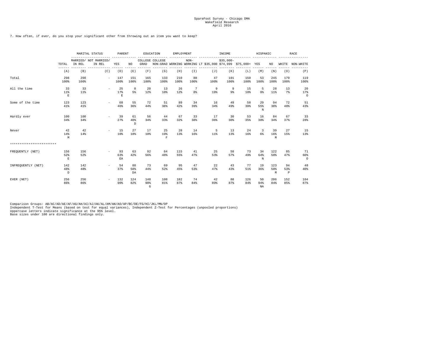7. How often, if ever, do you stop your significant other from throwing out an item you want to keep?

|                           |                            |              | MARITAL STATUS<br>$- - - - -$   | PARENT                   |                           |                 | EDUCATION                            | EMPLOYMENT  |                      | --- --------- | INCOME                | -----------                                                 | HISPANIC                      |                 |                          | RACE                 |
|---------------------------|----------------------------|--------------|---------------------------------|--------------------------|---------------------------|-----------------|--------------------------------------|-------------|----------------------|---------------|-----------------------|-------------------------------------------------------------|-------------------------------|-----------------|--------------------------|----------------------|
|                           | TOTAL                      | IN REL       | MARRIED/ NOT MARRIED/<br>IN REL | YES                      | NO.                       | GRAD            | COLLEGE COLLEGE                      |             | $NON-$               |               | $$35.000-$            | NON-GRAD WORKING WORKING LT \$35,000 \$74,999 \$75,000+ YES |                               | NO              | WHITE                    | NON-WHITE            |
|                           | $- - - - - -$<br>(A)       | (B)          | (C)                             | (D)                      | (E)                       | (F)             | (G)                                  | (H)         | (T)                  | (J)           | (K)                   | (L)                                                         | (M)                           | (N)             | (0)                      | (P)                  |
| Total                     | 298<br>100%                | 298<br>100%  | $\sim$                          | 147<br>100%              | 151<br>100%               | 165<br>100%     | 133<br>100%                          | 210<br>100% | 88<br>100%           | 47<br>100%    | 101<br>100%           | 150<br>100%                                                 | 53<br>100%                    | 245<br>100%     | 179<br>100%              | 119<br>100%          |
| All the time              | 33<br>11%<br>$\mathbf E$   | 33<br>$11$ % | $\overline{\phantom{a}}$        | 25<br>17%<br>$\mathbf E$ | 8<br>5%                   | 20<br>12%       | 13<br>10%                            | 26<br>12%   | $\overline{7}$<br>8% | 9<br>19%      | 9<br>$9\%$            | 15<br>10%                                                   | -5<br>9%                      | 28<br>$11$ %    | 13<br>7%                 | 20<br>17%<br>$\circ$ |
| Some of the time          | 123<br>41%                 | 123<br>41%   |                                 | 68<br>46%                | 55<br>36%                 | 72<br>44%       | 51<br>38%                            | 89<br>42%   | 34<br>39%            | 16<br>34%     | 49<br>49%             | 58<br>39%                                                   | 29<br>55%<br>$_{\rm N}$       | 94<br>38%       | 72<br>$40*$              | 51<br>43%            |
| Hardly ever               | 100<br>34%                 | 100<br>34%   |                                 | 39<br>27%                | 61<br>40%<br>$\mathbb{D}$ | 56<br>34%       | 44<br>33%                            | 67<br>32%   | 33<br>38%            | 17<br>36%     | 30<br>30 <sup>8</sup> | 53<br>35%                                                   | 16<br>30 <sup>8</sup>         | 84<br>34%       | 67<br>37%                | 33<br>28%            |
| Never                     | 42<br>14%<br>M             | 42<br>14%    | $\sim$                          | 15<br>10%                | 27<br>18%                 | 17<br>10%       | 25<br>19%<br>$\overline{\mathrm{F}}$ | 28<br>13%   | 14<br>16%            | 5<br>$11$ %   | 13<br>13%             | 24<br>16%                                                   | $\overline{\mathbf{3}}$<br>6% | 39<br>16%<br>M  | 27<br>15%                | 15<br>13%            |
| ************************* |                            |              |                                 |                          |                           |                 |                                      |             |                      |               |                       |                                                             |                               |                 |                          |                      |
| FREQUENTLY (NET)          | 156<br>52%<br>$\mathbf E$  | 156<br>52%   | $\sim$                          | 93<br>63%<br>EA          | 63<br>42%                 | 92<br>56%       | 64<br>48%                            | 115<br>55%  | 41<br>47%            | 25<br>53%     | 58<br>57%             | 73<br>49%                                                   | 34<br>64%<br>N                | 122<br>50%      | 85<br>47%                | 71<br>60%<br>$\circ$ |
| INFREOUENTLY (NET)        | 142<br>48%<br>$\mathbb{D}$ | 142<br>48%   | $\sim$                          | 54<br>37%                | 88<br>58%<br>DA           | 73<br>44%       | 69<br>52%                            | 95<br>45%   | 47<br>53%            | 22<br>47%     | 43<br>43%             | 77<br>51%                                                   | 19<br>36%                     | 123<br>50%<br>M | 94<br>53%<br>$\mathbb P$ | 48<br>40%            |
| EVER (NET)                | 256<br>86%                 | 256<br>86%   | $\sim$                          | 132<br>90%               | 124<br>82%                | 148<br>90%<br>G | 108<br>81%                           | 182<br>87%  | 74<br>84%            | 42<br>89%     | 88<br>87%             | 126<br>84%                                                  | 50<br>94%<br>NA               | 206<br>84%      | 152<br>85%               | 104<br>87%           |

Comparison Groups: AB/AC/AD/AE/AF/AG/AH/AI/AJ/AK/AL/AM/AN/AO/AP/BC/DE/FG/HI/JKL/MN/OP<br>Independent T-Test for Means (based on test for equal variances), Independent Z-Test for Percentages (unpooled proportions)<br>Uppercase le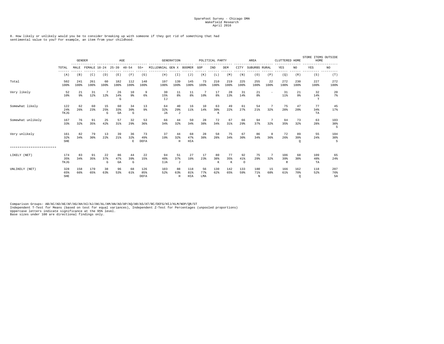8. How likely or unlikely would you be to consider breaking up with someone if they got rid of something that had sentimental value to you? For example, an item from your childhood.

|                           |                          |             | <b>GENDER</b><br>FEMALE 18-24 |                      |                 | AGE                        |                    |                  | <b>GENERATION</b> |                   |                      | POLITICAL PARTY |                       |                      | AREA            |            | CLUTTERED HOME            |                       | STORE ITEMS OUTSIDE<br>HOME |                  |
|---------------------------|--------------------------|-------------|-------------------------------|----------------------|-----------------|----------------------------|--------------------|------------------|-------------------|-------------------|----------------------|-----------------|-----------------------|----------------------|-----------------|------------|---------------------------|-----------------------|-----------------------------|------------------|
|                           | TOTAL                    | MALE        |                               |                      | $25 - 39$       | $40 - 54$                  | $55+$              | MILLENNIAL GEN X |                   | BOOMER            | GOP                  | IND             | DEM                   | CITY                 | SUBURBS RURAL   |            | YES                       | NO.                   | YES                         | NO               |
|                           | (A)                      | (B)         | (C)                           | (D)                  | (E)             | (F)                        | (G)                | (H)              | (T)               | (J)               | (K)                  | (L)             | (M)                   | (N)                  | (0)             | (P)        | (Q)                       | (R)                   | (S)                         | (T)              |
| Total                     | 502<br>100%              | 241<br>100% | 261<br>100%                   | 60<br>100%           | 182<br>100%     | 112<br>100%                | 148<br>100%        | 197<br>100%      | 139<br>100%       | 145<br>100%       | 73<br>100%           | 210<br>100%     | 219<br>100%           | 225<br>100%          | 255<br>100%     | 22<br>100% | 272<br>100%               | 230<br>100%           | 227<br>100%                 | 272<br>100%      |
| Very likely               | 52<br>10 <sup>8</sup>    | 21<br>9%    | 31<br>12%                     | 7<br>12 <sup>8</sup> | 26<br>14%<br>G  | 10<br>9%                   | 9<br>6%            | 30<br>15%<br>IJ  | 11<br>8%          | 11<br>8%          | 7<br>10 <sup>8</sup> | 17<br>8%        | 28<br>13 <sup>8</sup> | 31<br>14%            | 21<br>8%        | $\sim$     | 31<br>$11$ %              | 21<br>9%              | 32<br>14%<br>T              | 20<br>7%         |
| Somewhat likely           | 122<br>24%<br>TKJG       | 62<br>26%   | 60<br>23%                     | 15<br>25%<br>G       | 60<br>33%<br>GA | 34<br>30%<br>G             | 13<br>9%           | 64<br>32%<br>JA  | 40<br>29%<br>J    | 16<br>11%         | 10<br>14%            | 63<br>30%<br>К  | 49<br>22%             | 61<br>27%            | 54<br>21%       | 32%        | 75<br>28%                 | 47<br>20%             | 77<br>34%<br>TA             | 45<br>17%        |
| Somewhat unlikely         | 167<br>33%               | 76<br>32%   | 91<br>35%                     | 25<br>42%            | 57<br>31%       | 32<br>29%                  | 53<br>36%          | 66<br>34%        | 44<br>32%         | 50<br>34%         | 28<br>38%            | 72<br>34%       | 67<br>31%             | 66<br>29%            | 94<br>37%       | 32%        | 94<br>35%                 | 73<br>32%             | 63<br>28%                   | 103<br>38%<br>S  |
| Very unlikely             | 161<br>32%<br><b>SHE</b> | 82<br>34%   | 79<br>30%                     | 13<br>22%            | 39<br>21%       | 36<br>32%<br>E             | 73<br>49%<br>DEFA  | 37<br>19%        | 44<br>32%<br>H    | 68<br>47%<br>HIA  | 28<br>38%            | 58<br>28%       | 75<br>34%             | 67<br>30%            | 86<br>34%       | 8<br>36%   | 72<br>26%                 | 89<br>39%<br>$\circ$  | 55<br>24%                   | 104<br>38%<br>s  |
| ************************* |                          |             |                               |                      |                 |                            |                    |                  |                   |                   |                      |                 |                       |                      |                 |            |                           |                       |                             |                  |
| LIKELY (NET)              | 174<br>35%<br>TKJG       | 83<br>34%   | 91<br>35%                     | 22<br>37%<br>G       | 86<br>47%<br>GA | 44<br>39%<br>${\mathbb G}$ | 22<br>15%          | 94<br>48%<br>IJA | 51<br>37%<br>J    | 27<br>19%         | 17<br>23%            | 80<br>38%<br>К  | 77<br>35%<br>$\,$ K   | 92<br>41%<br>$\circ$ | 75<br>29%       | 32%        | 106<br>39%<br>$\mathbb R$ | 68<br>30%             | 109<br>48%<br>TA            | 65<br>24%        |
| UNLIKELY (NET)            | 328<br>65%<br>SHE        | 158<br>66%  | 170<br>65%                    | 38<br>63%            | 96<br>53%       | 68<br>61%                  | 126<br>85%<br>DEFA | 103<br>52%       | 88<br>63%<br>Н    | 118<br>81%<br>HIA | 56<br>77%<br>LMA     | 130<br>62%      | 142<br>65%            | 133<br>59%           | 180<br>71%<br>N | 15<br>68%  | 166<br>61%                | 162<br>70%<br>$\circ$ | 118<br>52%                  | 207<br>76%<br>SA |

Comparison Groups: AB/AC/AD/AE/AF/AG/AH/AI/AJ/AK/AL/AM/AN/AO/AP/AQ/AR/AS/AT/BC/DEFG/HIJ/KLM/NOP/QR/ST<br>Independent T-Test for Means (based on test for equal variances), Independent Z-Test for Percentages (unpooled proportio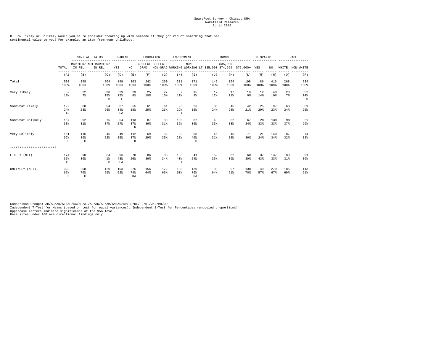8. How likely or unlikely would you be to consider breaking up with someone if they got rid of something that had sentimental value to you? For example, an item from your childhood.

|                           |                            |                       | MARITAL STATUS                  | PARENT                   |                      |             | EDUCATION       | EMPLOYMENT                 |                         | .                                                       | INCOME      | ------------- | HISPANIC   |                       |             | RACE                 |
|---------------------------|----------------------------|-----------------------|---------------------------------|--------------------------|----------------------|-------------|-----------------|----------------------------|-------------------------|---------------------------------------------------------|-------------|---------------|------------|-----------------------|-------------|----------------------|
|                           | TOTAL                      | IN REL                | MARRIED/ NOT MARRIED/<br>IN REL | YES                      | NO                   | GRAD        | COLLEGE COLLEGE |                            | $\rm{NON-}$             | NON-GRAD WORKING WORKING LT \$35,000 \$74,999 \$75,000+ | $$35,000-$  |               | YES        | NO.                   | WHITE       | NON-WHITE            |
|                           | (A)                        | (B)                   | (C)                             | (D)                      | (E)                  | (F)         | (G)             | (H)                        | (T)                     | (J)                                                     | (K)         | (L)           | (M)        | (N)                   | (0)         | (P)                  |
| Total                     | 502<br>100%                | 298<br>100%           | 204<br>100%                     | 199<br>100%              | 303<br>100%          | 242<br>100% | 260<br>100%     | 331<br>100%                | 171<br>100%             | 145<br>100%                                             | 159<br>100% | 198<br>100%   | 86<br>100% | 416<br>100%           | 268<br>100% | 234<br>100%          |
| Very likely               | 52<br>10 <sup>8</sup>      | 22<br>$7\%$           | 30<br>15%<br>$\,$ B             | 29<br>15%<br>$\mathbf E$ | 23<br>8 <sup>8</sup> | 25<br>10%   | 27<br>10%       | 37<br>11%                  | 15<br>9%                | 17<br>12%                                               | 17<br>11%   | 18<br>9%      | 12<br>14%  | 40<br>10 <sup>8</sup> | 20<br>7%    | 32<br>14%<br>$\circ$ |
| Somewhat likely           | 122<br>24%<br>IE           | 68<br>23%             | 54<br>26%                       | 67<br>34%<br>EA          | 55<br>18%            | 61<br>25%   | 61<br>23%       | 96<br>29%<br>$\mathbb{I}$  | 26<br>15%               | 35<br>24%                                               | 45<br>28%   | 42<br>21%     | 25<br>29%  | 97<br>23%             | 63<br>24%   | 59<br>25%            |
| Somewhat unlikely         | 167<br>33%                 | 92<br>31%             | 75<br>37%                       | 54<br>27%                | 113<br>37%<br>D      | 87<br>36%   | 80<br>31%       | 105<br>32%                 | 62<br>36%               | 48<br>33%                                               | 52<br>33%   | 67<br>34%     | 28<br>33%  | 139<br>33%            | 98<br>37%   | 69<br>29%            |
| Very unlikely             | 161<br>32%<br>DC.          | 116<br>39%<br>C       | 45<br>22%                       | 49<br>25%                | 112<br>37%<br>D.     | 69<br>29%   | 92<br>35%       | 93<br>28%                  | 68<br>40%<br>H          | 45<br>31%                                               | 45<br>28%   | 71<br>36%     | 21<br>24%  | 140<br>34%            | 87<br>32%   | 74<br>32%            |
| ************************* |                            |                       |                                 |                          |                      |             |                 |                            |                         |                                                         |             |               |            |                       |             |                      |
| LIKELY (NET)              | 174<br>35%<br>IE           | 90<br>30 <sup>8</sup> | 84<br>$41$ %<br>$\,$ B          | 96<br>48%<br>EA          | 78<br>26%            | 86<br>36%   | 88<br>34%       | 133<br>40%<br>$\mathbb{I}$ | 41<br>24%               | 52<br>36%                                               | 62<br>39%   | 60<br>30%     | 37<br>43%  | 137<br>33%            | 83<br>31%   | 91<br>39%            |
| UNLIKELY (NET)            | 328<br>65%<br>$\mathbb{D}$ | 208<br>70%<br>C       | 120<br>59%                      | 103<br>52%               | 225<br>74%<br>DA     | 156<br>64%  | 172<br>66%      | 198<br>60%                 | 130<br>76%<br><b>HA</b> | 93<br>64%                                               | 97<br>61%   | 138<br>70%    | 49<br>57%  | 279<br>67%            | 185<br>69%  | 143<br>61%           |

Comparison Groups: AB/AC/AD/AE/AF/AG/AH/AI/AJ/AK/AL/AM/AN/AO/AP/BC/DE/FG/HI/JKL/MN/OP<br>Independent T-Test for Means (based on test for equal variances), Independent Z-Test for Percentages (unpooled proportions)<br>Uppercase le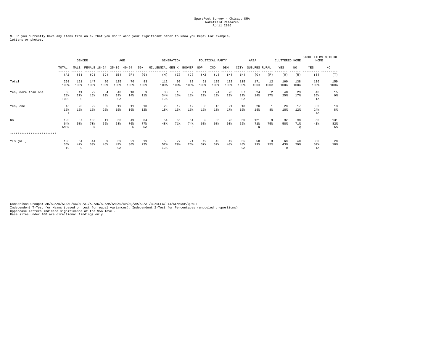9. Do you currently have any items from an ex that you don't want your significant other to know you kept? For example, letters or photos.

|                           |                           |                | <b>GENDER</b><br>----------------------------<br>-------------<br>FEMALE 18-24 |            |                  | AGE            |                 | ------------------------- | <b>GENERATION</b>       |                          | ------------- | POLITICAL PARTY | ------      | $- - - - -$            | AREA<br>-------------- |                | CLUTTERED HOME |                      | STORE ITEMS OUTSIDE<br>HOME |                  |
|---------------------------|---------------------------|----------------|--------------------------------------------------------------------------------|------------|------------------|----------------|-----------------|---------------------------|-------------------------|--------------------------|---------------|-----------------|-------------|------------------------|------------------------|----------------|----------------|----------------------|-----------------------------|------------------|
|                           | TOTAL                     | MALE           |                                                                                |            | $25 - 39$        | $40 - 54$      | $55+$           | MILLENNIAL GEN X          |                         | <b>BOOMER</b>            | GOP           | IND             | DEM         | CITY                   | SUBURBS RURAL          |                | YES            | NO.                  | YES                         | NO               |
|                           | $- - - - - -$<br>(A)      | (B)            | (C)                                                                            | (D)        | (E)              | (F)            | (G)             | (H)                       | (T)                     | (J)                      | (K)           | (L)             | (M)         | (N)                    | (0)                    | (P)            | (Q)            | (R)                  | (S)                         | (T)              |
| Total                     | 298<br>100%               | 151<br>100%    | 147<br>100%                                                                    | 20<br>100% | 125<br>100%      | 70<br>100%     | 83<br>100%      | 112<br>100%               | 92<br>100%              | 82<br>100%               | 51<br>100%    | 125<br>100%     | 122<br>100% | 115<br>100%            | 171<br>100%            | 12<br>100%     | 160<br>100%    | 138<br>100%          | 136<br>100%                 | 159<br>100%      |
| Yes, more than one        | 63<br>21%<br>TOJG         | 41<br>27%<br>C | 22<br>15%                                                                      | 4<br>20%   | 40<br>32%<br>FGA | 10<br>14%      | -9<br>11%       | 38<br>34%<br>IJA          | 15<br>16%               | -9<br>11%                | 11<br>22%     | 24<br>19%       | 28<br>23%   | 37<br>32%<br>OA        | 24<br>14%              | 17%            | 40<br>25%      | 23<br>17%            | 48<br>35%<br>TA             | 15<br>9%         |
| Yes, one                  | 45<br>15%<br>T            | 23<br>15%      | 22<br>15%                                                                      | -5<br>25%  | 19<br>15%        | 11<br>16%      | 10<br>12%       | 20<br>18%                 | 12<br>13%               | 12<br>15%                | 8<br>16%      | 16<br>13%       | 21<br>17%   | 18<br>16%              | 26<br>15%              | 8 <sup>8</sup> | 28<br>18%      | 17<br>12%            | 32<br>24%<br>TA             | 13<br>8%         |
| No                        | 190<br>64%<br><b>SNHE</b> | 87<br>58%      | 103<br>70%<br>в                                                                | 11<br>55%  | 66<br>53%        | 49<br>70%<br>Е | 64<br>77%<br>EA | 54<br>48%                 | 65<br>71%<br>$_{\rm H}$ | 61<br>74%<br>$\mathbf H$ | 32<br>63%     | 85<br>68%       | 73<br>60%   | 60<br>52%              | 121<br>71%<br>N        | 75%            | 92<br>58%      | 98<br>71%<br>$\circ$ | 56<br>$41\%$                | 131<br>82%<br>SA |
| ************************* |                           |                |                                                                                |            |                  |                |                 |                           |                         |                          |               |                 |             |                        |                        |                |                |                      |                             |                  |
| YES (NET)                 | 108<br>36%<br>TG          | 64<br>42%<br>C | 44<br>30%                                                                      | 9<br>45%   | 59<br>47%<br>FGA | 21<br>30%      | 19<br>23%       | 58<br>52%<br><b>IJA</b>   | 27<br>29%               | 21<br>26%                | 19<br>37%     | 40<br>32%       | 49<br>40%   | 55<br>48%<br><b>OA</b> | 50<br>29%              | -3<br>25%      | 68<br>43%<br>R | 40<br>29%            | 80<br>59%<br>TA             | 28<br>18%        |

Comparison Groups: AB/AC/AD/AE/AF/AG/AH/AI/AJ/AK/AL/AM/AN/AO/AP/AQ/AR/AS/AT/BC/DEFG/HIJ/KLM/NOP/QR/ST<br>Independent T-Test for Means (based on test for equal variances), Independent Z-Test for Percentages (unpooled proportio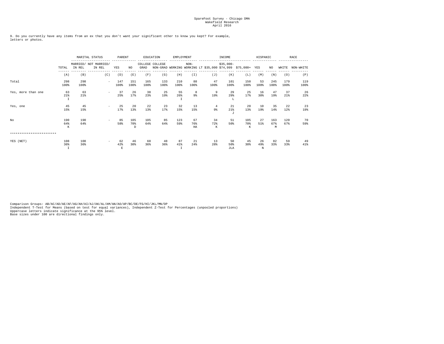9. Do you currently have any items from an ex that you don't want your significant other to know you kept? For example, letters or photos.

|                           |                            |             | MARITAL STATUS                  | PARENT                   |                 |             | EDUCATION       | EMPLOYMENT  |                 |                                                             | INCOME                  |                       | HISPANIC        |                 |             | RACE        |
|---------------------------|----------------------------|-------------|---------------------------------|--------------------------|-----------------|-------------|-----------------|-------------|-----------------|-------------------------------------------------------------|-------------------------|-----------------------|-----------------|-----------------|-------------|-------------|
|                           | TOTAL                      | IN REL      | MARRIED/ NOT MARRIED/<br>IN REL | YES                      | NO.             | GRAD        | COLLEGE COLLEGE |             | $NON-$          | NON-GRAD WORKING WORKING LT \$35,000 \$74,999 \$75,000+ YES | $$35,000-$              |                       |                 | NO.             | WHITE       | NON-WHITE   |
|                           | (A)                        | (B)         | (C)                             | (D)                      | (E)             | (F)         | (G)             | (H)         | (T)             | (J)                                                         | (K)                     | (L)                   | (M)             | (N)             | (0)         | (P)         |
| Total                     | 298<br>100%                | 298<br>100% | $\sim$                          | 147<br>100%              | 151<br>100%     | 165<br>100% | 133<br>100%     | 210<br>100% | 88<br>100%      | 47<br>100%                                                  | 101<br>100%             | 150<br>100%           | 53<br>100%      | 245<br>100%     | 179<br>100% | 119<br>100% |
| Yes, more than one        | 63<br>21%<br>$\mathbbm{1}$ | 63<br>21%   |                                 | 37<br>25%                | 26<br>17%       | 38<br>23%   | 25<br>19%       | 55<br>26%   | 8<br>9%         | 9<br>19%                                                    | 29<br>29%<br>т.         | 25<br>17%             | 16<br>30%       | 47<br>19%       | 37<br>21%   | 26<br>22%   |
| Yes, one                  | 45<br>15%                  | 45<br>15%   |                                 | 25<br>17%                | 20<br>13%       | 22<br>13%   | 23<br>17%       | 32<br>15%   | 13<br>15%       | $\overline{4}$<br>9%                                        | 21<br>21%<br>J          | 20<br>13%             | 10<br>19%       | 35<br>14%       | 22<br>12%   | 23<br>19%   |
| No                        | 190<br>64%<br>K            | 190<br>64%  | $\overline{\phantom{a}}$        | 85<br>58%                | 105<br>70%<br>D | 105<br>64%  | 85<br>64%       | 123<br>59%  | 67<br>76%<br>HA | 34<br>72%<br>K                                              | 51<br>50%               | 105<br>70%<br>K       | 27<br>51%       | 163<br>67%<br>M | 120<br>67%  | 70<br>59%   |
| ************************* |                            |             |                                 |                          |                 |             |                 |             |                 |                                                             |                         |                       |                 |                 |             |             |
| YES (NET)                 | 108<br>36%<br>$\mathbf I$  | 108<br>36%  |                                 | 62<br>42%<br>$\mathbf E$ | 46<br>30%       | 60<br>36%   | 48<br>36%       | 87<br>41%   | 21<br>24%       | 13<br>28%                                                   | 50<br>50%<br><b>JLA</b> | 45<br>30 <sup>8</sup> | -26<br>49%<br>N | 82<br>33%       | 59<br>33%   | 49<br>41%   |

Comparison Groups: AB/AC/AD/AE/AF/AG/AH/AI/AJ/AK/AL/AM/AN/AO/AP/BC/DE/FG/HI/JKL/MN/OP<br>Independent T-Test for Means (based on test for equal variances), Independent Z-Test for Percentages (unpooled proportions)<br>Uppercase le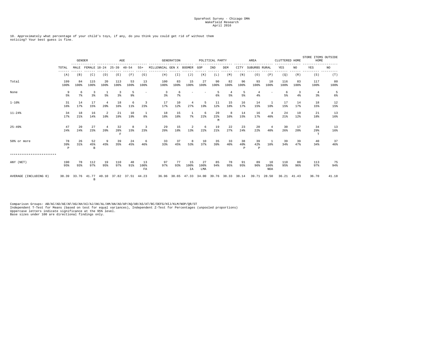10. Approximately what percentage of your child's toys, if any, do you think you could get rid of without them noticing? Your best guess is fine.

|                           |                           | <b>GENDER</b> |                          |                       | AGE                      |                   |                          |                  | <b>GENERATION</b> | ------------          |                   | POLITICAL PARTY |            |                | AREA                      |                          | CLUTTERED HOME |            | STORE ITEMS OUTSIDE<br>HOME |            |
|---------------------------|---------------------------|---------------|--------------------------|-----------------------|--------------------------|-------------------|--------------------------|------------------|-------------------|-----------------------|-------------------|-----------------|------------|----------------|---------------------------|--------------------------|----------------|------------|-----------------------------|------------|
|                           | TOTAL                     | MALE          | FEMALE 18-24 25-39 40-54 |                       |                          |                   | $55+$                    | MILLENNIAL GEN X |                   | BOOMER                | GOP               | IND             | DEM        | CITY           | SUBURBS RURAL             |                          | YES            | NO.        | YES                         | NO         |
|                           | (A)                       | (B)           | (C)                      | (D)                   | (E)                      | (F)               | (G)                      | (H)              | (I)               | (J)                   | (K)               | (L)             | (M)        | (N)            | (0)                       | (P)                      | (Q)            | (R)        | (S)                         | (T)        |
| Total                     | 199<br>100%               | 84<br>100%    | 115<br>100%              | 20<br>100%            | 113<br>100%              | 53<br>100%        | 13<br>100%               | 100<br>100%      | 83<br>100%        | 15<br>100%            | 27<br>100%        | 90<br>100%      | 82<br>100% | 96<br>100%     | 93<br>100%                | 10<br>100%               | 116<br>100%    | 83<br>100% | 117<br>100%                 | 80<br>100% |
| None                      | 9<br>5%                   | 6<br>7%       | 3<br>3%                  | 5%                    | 3<br>3%                  | -5<br>9%          | $\overline{\phantom{a}}$ | -3<br>3%         | 6<br>7%           |                       |                   | -5<br>6%        | -4<br>5%   | -5<br>5%       | $\overline{4}$<br>$4\%$   | $\overline{\phantom{a}}$ | 6<br>5%        | 3<br>$4\%$ | $\overline{4}$<br>3%        | -5<br>6%   |
| $1 - 10$ %                | 31<br>16%                 | 14<br>17%     | 17<br>15%                | $\overline{4}$<br>20% | 18<br>16%                | 6<br>11%          | 3<br>23%                 | 17<br>17%        | 10<br>12%         | $\overline{4}$<br>27% | -5<br>19%         | 11<br>12%       | 15<br>18%  | 16<br>17%      | 14<br>15%                 | 1<br>10 <sup>8</sup>     | 17<br>15%      | 14<br>17%  | 18<br>15%                   | 12<br>15%  |
| $11 - 24%$                | 34<br>17%                 | 18<br>21%     | 16<br>14%                | 2<br>10%              | 21<br>19%                | 10<br>19%         | 1<br>8 <sup>8</sup>      | 18<br>18%        | 15<br>18%         | 1<br>7%               | 6<br>22%          | 20<br>22%<br>M  | 8<br>10%   | 14<br>15%      | 16<br>17%                 | $\overline{4}$<br>40%    | 24<br>21%      | 10<br>12%  | 21<br>18%                   | 13<br>16%  |
| $25 - 49%$                | 47<br>24%                 | 20<br>24%     | 27<br>23%                | $\overline{4}$<br>20% | 32<br>28%<br>$\mathbf F$ | 8<br>15%          | 3<br>23%                 | 29<br>29%        | 15<br>18%         | $\overline{2}$<br>13% | 6<br>22%          | 19<br>21%       | 22<br>27%  | 23<br>24%      | 20<br>22%                 | $\overline{4}$<br>40%    | 30<br>26%      | 17<br>20%  | 34<br>29%<br>T              | 13<br>16%  |
| 50% or more               | 78<br>39%<br>$\mathbf{P}$ | 26<br>31%     | 52<br>45%<br>$\mathbf B$ | 9<br>45%              | 39<br>35%                | 24<br>45%         | 6<br>46%                 | 33<br>33%        | 37<br>45%         | 8<br>53%              | 10<br>37%         | 35<br>39%       | 33<br>40%  | 38<br>40%<br>P | 39<br>42%<br>$\mathbf{P}$ | -1<br>10 <sup>8</sup>    | 39<br>34%      | 39<br>47%  | 40<br>34%                   | 37<br>46%  |
| ************************* |                           |               |                          |                       |                          |                   |                          |                  |                   |                       |                   |                 |            |                |                           |                          |                |            |                             |            |
| ANY (NET)                 | 190<br>95%                | 78<br>93%     | 112<br>97%               | 19<br>95%             | 110<br>97%               | 48<br>91%         | 13<br>100%<br>${\rm FA}$ | 97<br>97%        | 77<br>93%         | 15<br>100%<br>ΙA      | 27<br>100%<br>LMA | 85<br>94%       | 78<br>95%  | 91<br>95%      | 89<br>96%                 | 10<br>100%<br>NOA        | 110<br>95%     | 80<br>96%  | 113<br>97%                  | 75<br>94%  |
| AVERAGE (INCLUDING 0)     | 38.39                     | 33.76         | 41.77<br>В               | 40.10                 |                          | 37.82 37.51 44.23 |                          |                  |                   | 36.96 38.65 47.33     | 34.00             | 39.76           | 38.33      | 38.14          |                           | 39.71 28.50              | 36.21          | 41.43      | 36.70                       | 41.18      |

Comparison Groups: AB/AC/AD/AE/AF/AG/AH/AI/AJ/AK/AL/AM/AN/AO/AP/AQ/AR/AS/AT/BC/DEFG/HIJ/KLM/NOP/QR/ST<br>Independent T-Test for Means (based on test for equal variances), Independent Z-Test for Percentages (unpooled proportio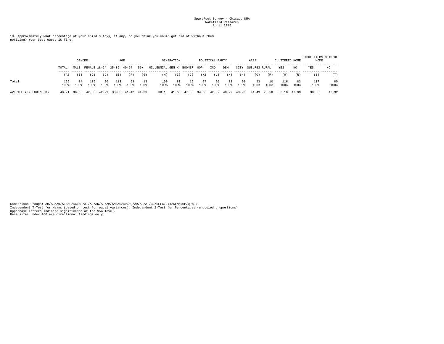10. Approximately what percentage of your child's toys, if any, do you think you could get rid of without them noticing? Your best guess is fine.

|                       |             | <b>GENDER</b> |                    |            |             | AGE         |            |                         | GENERATION  |            |             | POLITICAL PARTY |            |            | AREA          |            | CLUTTERED HOME |            | STORE ITEMS OUTSIDE<br>HOME |            |
|-----------------------|-------------|---------------|--------------------|------------|-------------|-------------|------------|-------------------------|-------------|------------|-------------|-----------------|------------|------------|---------------|------------|----------------|------------|-----------------------------|------------|
|                       | TOTAL       | MALE          | FEMALE 18-24 25-39 |            |             | $40 - 54$   | $55+$      | MILLENNIAL GEN X BOOMER |             |            | GOP         | IND             | DEM        | CITY       | SUBURBS RURAL |            | YES            | NO.        | YES                         | NO         |
|                       | (A)         | (B)           | (C)                | (D)        | (E)         | (F)         | (G)        | (H)                     | (I)         | (J)        | (K)         | (L)             | (M)        | (N)        | (0)           | (P)        | (Q)            | (R)        | (S)                         | (T)        |
| Total                 | 199<br>100% | 84<br>100%    | 115<br>100%        | 20<br>100% | 113<br>100% | 53<br>100%  | 13<br>100% | 100<br>100%             | 83<br>100%  | 15<br>100% | -27<br>100% | 90<br>100%      | 82<br>100% | 96<br>100% | 93<br>100%    | 10<br>100% | 116<br>100%    | 83<br>100% | 117<br>100%                 | 80<br>100% |
| AVERAGE (EXCLUDING 0) | 40.21       |               | 36.36 42.88 42.21  |            |             | 38.85 41.42 | 44.23      |                         | 38.10 41.66 |            | 47.33 34.00 | 42.09           | 40.29      | 40.23      | 41.49         | 28.50      | 38.18          | 42.99      | 38.00                       | 43.92      |

Comparison Groups: AB/AC/AD/AE/AF/AG/AH/AI/AJ/AK/AL/AM/AN/AO/AP/AQ/AR/AS/AT/BC/DEFG/HIJ/KLM/NOP/QR/ST<br>Independent T-Test for Means (based on test for equal variances), Independent Z-Test for Percentages (unpooled proportio Base sizes under 100 are directional findings only.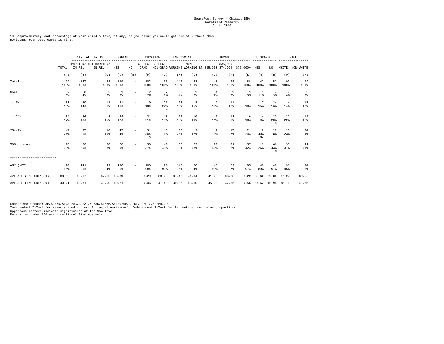10. Approximately what percentage of your child's toys, if any, do you think you could get rid of without them noticing? Your best guess is fine.

|                           |             |             | MARITAL STATUS<br>MARRIED/ NOT MARRIED/ |             | PARENT                   |                         | EDUCATION<br>$- - - - -$             | EMPLOYMENT   |            | .                                                           | INCOME              | --------------- | HISPANIC                         |                |                      | <b>RACE</b>     |
|---------------------------|-------------|-------------|-----------------------------------------|-------------|--------------------------|-------------------------|--------------------------------------|--------------|------------|-------------------------------------------------------------|---------------------|-----------------|----------------------------------|----------------|----------------------|-----------------|
|                           | TOTAL       | IN REL      | IN REL                                  | YES         | NO.                      | COLLEGE COLLEGE<br>GRAD |                                      |              | $NON-$     | NON-GRAD WORKING WORKING LT \$35,000 \$74,999 \$75,000+ YES | $$35,000-$          |                 |                                  | NO.            |                      | WHITE NON-WHITE |
|                           | (A)         | (B)         | (C)                                     | (D)         | (E)                      | (F)                     | (G)                                  | (H)          | (T)        | (J)                                                         | (K)                 | (L)             | (M)                              | (N)            | (0)                  | (P)             |
| Total                     | 199<br>100% | 147<br>100% | 52<br>100%                              | 199<br>100% | $\overline{\phantom{a}}$ | 102<br>100%             | 97<br>100%                           | 146<br>100%  | 53<br>100% | 47<br>100%                                                  | 64<br>100%          | 88<br>100%      | 47<br>100%                       | 152<br>100%    | 100<br>100%          | 99<br>100%      |
| None                      | 9<br>5%     | 6<br>4%     | 3<br>6%                                 | 9<br>5%     | $\overline{\phantom{a}}$ | 2<br>2 <sup>8</sup>     | 7<br>7%                              | - 6<br>$4\%$ | 3<br>6%    | $\overline{4}$<br>$9\%$                                     | 2<br>3 <sup>8</sup> | 3<br>3%         | -5<br>$11$ %                     | 4<br>3%        | $\overline{4}$<br>4% | -5<br>5%        |
| $1 - 10$ %                | 31<br>16%   | 20<br>14%   | 11<br>21%                               | 31<br>16%   | $\overline{\phantom{0}}$ | 10<br>10%               | 21<br>22%<br>$\overline{\mathrm{F}}$ | 23<br>16%    | 8<br>15%   | 9<br>19%                                                    | 11<br>17%           | 11<br>13%       | 7<br>15%                         | 24<br>16%      | 14<br>14%            | 17<br>17%       |
| $11 - 24%$                | 34<br>17%   | 26<br>18%   | 8<br>15%                                | 34<br>17%   | $\overline{\phantom{0}}$ | 21<br>21%               | 13<br>13%                            | 24<br>16%    | 10<br>19%  | -5<br>$11$ %                                                | 13<br>20%           | 16<br>18%       | $\overline{4}$<br>9 <sub>8</sub> | 30<br>20%<br>M | 22<br>22%            | 12<br>$12\%$    |
| $25 - 49$                 | 47<br>24%   | 37<br>25%   | 10<br>19%                               | 47<br>24%   |                          | 31<br>30%<br>G          | 16<br>16%                            | 38<br>26%    | 9<br>17%   | 9<br>19%                                                    | 17<br>27%           | 21<br>24%       | 19<br>40%<br>NA                  | 28<br>18%      | 23<br>23%            | 24<br>24%       |
| 50% or more               | 78<br>39%   | 58<br>39%   | 20<br>38%                               | 78<br>39%   |                          | 38<br>37%               | 40<br>41%                            | 55<br>38%    | 23<br>43%  | 20<br>43%                                                   | 21<br>33%           | 37<br>42%       | 12<br>26%                        | 66<br>43%<br>M | 37<br>37%            | 41<br>41%       |
| ************************* |             |             |                                         |             |                          |                         |                                      |              |            |                                                             |                     |                 |                                  |                |                      |                 |
| ANY (NET)                 | 190<br>95%  | 141<br>96%  | 49<br>94%                               | 190<br>95%  | $\overline{\phantom{0}}$ | 100<br>98%              | 90<br>93%                            | 140<br>96%   | 50<br>94%  | 43<br>91%                                                   | 62<br>97%           | 85<br>97%       | 42<br>89%                        | 148<br>97%     | 96<br>96%            | 94<br>95%       |
| AVERAGE (INCLUDING 0)     | 38.39       | 38.67       | 37.60                                   | 38.39       | $\overline{\phantom{0}}$ | 38.29                   | 38.48                                | 37.42        | 41.04      | 41.45                                                       | 36.38               |                 | 38.22 33.62                      |                | 39.86 37.24          | 39.55           |
| AVERAGE (EXCLUDING 0)     | 40.21       | 40.31       |                                         | 39.90 40.21 | $\overline{\phantom{a}}$ | 39.06                   | 41.48                                | 39.03        | 43.50      | 45.30                                                       | 37.55               |                 | 39.56 37.62 40.94 38.79          |                |                      | 41.65           |

Comparison Groups: AB/AC/AD/AE/AF/AG/AH/AI/AJ/AK/AL/AM/AN/AO/AP/BC/DE/FG/HI/JKL/MN/OP<br>Independent T-Test for Means (based on test for equal variances), Independent Z-Test for Percentages (unpooled proportions)<br>Uppercase le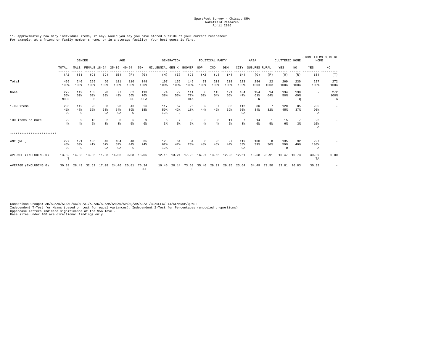#### 11. Approximately how many individual items, if any, would you say you have stored outside of your current residence? For example, at a friend or family member's home, or in a storage facility. Your best guess is fine.

|                           |                      | <b>GENDER</b>   |                               |                      | $\rm{AGE}$          |                 |                    |                         | <b>GENERATION</b> |                                                |            | POLITICAL PARTY |             |                  | AREA                       |             | CLUTTERED HOME  |             | STORE ITEMS OUTSIDE<br>HOME |                  |
|---------------------------|----------------------|-----------------|-------------------------------|----------------------|---------------------|-----------------|--------------------|-------------------------|-------------------|------------------------------------------------|------------|-----------------|-------------|------------------|----------------------------|-------------|-----------------|-------------|-----------------------------|------------------|
|                           | TOTAL                | MALE            | FEMALE 18-24                  |                      | $25 - 39$ $40 - 54$ |                 | $55+$              | MILLENNIAL GEN X BOOMER |                   |                                                | GOP        | IND             | DEM         | CITY             | SUBURBS RURAL              |             | YES             | NO.         | YES                         | NO.              |
|                           | (A)                  | (B)             | (C)                           | (D)                  | (E)                 | (F)             | (G)                | (H)                     | (I)               | (J)                                            | (K)        | (L)             | (M)         | (N)              | (0)                        | (P)         | (Q)             | (R)         | (S)                         | (T)              |
| Total                     | 499<br>100%          | 240<br>100%     | 259<br>100%                   | 60<br>100%           | 181<br>100%         | 110<br>100%     | 148<br>100%        | 197<br>100%             | 136<br>100%       | 145<br>100%                                    | 73<br>100% | 208<br>100%     | 218<br>100% | 223<br>100%      | 254<br>100%                | 22<br>100%  | 269<br>100%     | 230<br>100% | 227<br>100%                 | 272<br>100%      |
| None                      | 272<br>55%<br>NHED   | 119<br>50%      | 153<br>59%<br>в               | 20<br>33%            | 77<br>43%           | 62<br>56%<br>DE | 113<br>76%<br>DEFA | 74<br>38%               | 72<br>53%<br>Н    | 111<br>77%<br>HIA                              | 38<br>52%  | 113<br>54%      | 121<br>56%  | 104<br>47%       | 154<br>61%<br>$\, {\rm N}$ | 14<br>64%   | 134<br>50%      | 138<br>60%  |                             | 272<br>100%<br>Α |
| 1-99 items                | 205<br>41%<br>JG     | 112<br>47%<br>C | 93<br>36%                     | 38<br>63%<br>FGA     | 98<br>54%<br>FGA    | 43<br>39%<br>G  | 26<br>18%          | 117<br>59%<br>IJA       | 57<br>42%<br>J    | 26<br>18%                                      | 32<br>44%  | 87<br>42%       | 86<br>39%   | 112<br>50%<br>OA | 86<br>34%                  | 32%         | 120<br>45%      | 85<br>37%   | 205<br>90%<br>Α             |                  |
| 100 items or more         | 22<br>$4\%$          | 9<br>4%         | 13<br>5%                      | $\overline{2}$<br>3% | 6<br>3%             | 5<br>5%         | 9<br>6%            | -6<br>3%                | 7<br>5%           | 8<br>6%                                        | 3<br>4%    | 8<br>4%         | 11<br>5%    | 7<br>3%          | 14<br>6%                   | 5%          | 15<br>6%        | 3%          | 22<br>10 <sup>8</sup><br>Α  |                  |
| ************************* |                      |                 |                               |                      |                     |                 |                    |                         |                   |                                                |            |                 |             |                  |                            |             |                 |             |                             |                  |
| ANY (NET)                 | 227<br>45%<br>JG     | 121<br>50%<br>C | 106<br>41%                    | 40<br>67%<br>FGA     | 104<br>57%<br>FGA   | 48<br>44%<br>G  | 35<br>24%          | 123<br>62%<br>IJA       | 64<br>47%<br>J    | 34<br>23%                                      | 35<br>48%  | 95<br>46%       | 97<br>44%   | 119<br>53%<br>OA | 100<br>39%                 | 8<br>36%    | 135<br>50%<br>R | 92<br>40%   | 227<br>100%<br>A            |                  |
| AVERAGE (INCLUDING 0)     | 13.82<br>$\mathbf T$ |                 | 14.33 13.35 11.38 14.06       |                      |                     |                 | 9.08 18.05         |                         |                   | 12.15 13.24 17.28 16.97 13.66 12.93 12.61      |            |                 |             |                  |                            | 13.58 28.91 | 16.47 10.73     |             | 30.39<br>TA                 | 0.00             |
| AVERAGE (EXCLUDING 0)     | 30.39<br>D           |                 | 28.43 32.62 17.08 24.46 20.81 |                      |                     |                 | 76.34<br>DEF       | 19.46                   |                   | 28.14 73.68 35.40 29.91 29.05 23.64<br>$\rm H$ |            |                 |             |                  |                            | 34.49 79.50 | 32.81 26.83     |             | 30.39                       |                  |

Comparison Groups: AB/AC/AD/AE/AF/AG/AH/AI/AJ/AK/AL/AM/AN/AO/AP/AQ/AR/AS/AT/BC/DEFG/HIJ/KLM/NOP/QR/ST<br>Independent T-Test for Means (based on test for equal variances), Independent Z-Test for Percentages (unpooled proportio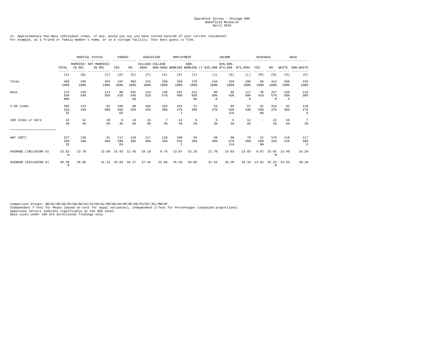#### 11. Approximately how many individual items, if any, would you say you have stored outside of your current residence? For example, at a friend or family member's home, or in a storage facility. Your best guess is fine.

|                           |                   | MARITAL STATUS | PARENT                          |                   |                  | EDUCATION   | EMPLOYMENT      |                            |                         | INCOME                                                      |                         | HISPANIC        |                  |                 | RACE                       |                       |
|---------------------------|-------------------|----------------|---------------------------------|-------------------|------------------|-------------|-----------------|----------------------------|-------------------------|-------------------------------------------------------------|-------------------------|-----------------|------------------|-----------------|----------------------------|-----------------------|
|                           | TOTAL             | IN REL         | MARRIED/ NOT MARRIED/<br>IN REL | YES               | NO.              | GRAD        | COLLEGE COLLEGE |                            | $NON-$                  | NON-GRAD WORKING WORKING LT \$35,000 \$74,999 \$75,000+ YES | $$35.000-$              |                 |                  | NO.             | WHITE                      | NON-WHITE             |
|                           | (A)               | (B)            | (C)                             | (D)               | (E)              | (F)         | (G)             | (H)                        | (T)                     | (J)                                                         | (K)                     | (L)             | (M)              | (N)             | (0)                        | (P)                   |
| Total                     | 499<br>100%       | 295<br>100%    | 204<br>100%                     | 197<br>100%       | 302<br>100%      | 241<br>100% | 258<br>100%     | 329<br>100%                | 170<br>100%             | 144<br>100%                                                 | 159<br>100%             | 196<br>100%     | 86<br>100%       | 413<br>100%     | 266<br>100%                | 233<br>100%           |
| None                      | 272<br>55%<br>MKD | 159<br>54%     | 113<br>55%                      | 80<br>41%         | 192<br>64%<br>DA | 124<br>51%  | 148<br>57%      | 161<br>49%                 | 111<br>65%<br><b>HA</b> | 86<br>60%<br>К                                              | 69<br>43%               | 117<br>60%<br>К | 35<br>41%        | 237<br>57%<br>M | 156<br>59%<br>$\mathbf{P}$ | 116<br>50%            |
| 1-99 items                | 205<br>41%<br>IE  | 124<br>42%     | 81<br>40%                       | 109<br>55%<br>EA  | 96<br>32%        | 102<br>42%  | 103<br>40%      | 154<br>47%<br>$\mathbb{I}$ | 51<br>30%               | 53<br>37%                                                   | 85<br>53%<br><b>JLA</b> | 67<br>34%       | -51<br>59%<br>NA | 154<br>37%      | 95<br>36%                  | 110<br>47%<br>$\circ$ |
| 100 items or more         | 22<br>$4\%$       | 12<br>4%       | 10<br>5%                        | 8<br>$4\%$        | 14<br>5%         | 15<br>6%    | 7<br>3%         | 14<br>$4\%$                | 8<br>5%                 | 5<br>3%                                                     | -5<br>3%                | 12<br>6%        | Ξ.               | 22<br>5%        | 15<br>6%                   | 7<br>3%               |
| ************************* |                   |                |                                 |                   |                  |             |                 |                            |                         |                                                             |                         |                 |                  |                 |                            |                       |
| ANY (NET)                 | 227<br>45%<br>IE  | 136<br>46%     | 91<br>45%                       | 117<br>59%<br>EA  | 110<br>36%       | 117<br>49%  | 110<br>43%      | 168<br>51%<br>$\mathbb{I}$ | 59<br>35%               | 58<br>40%                                                   | 90<br>57%<br>JLA        | 79<br>40%       | 51<br>59%<br>NA  | 176<br>43%      | 110<br>41%                 | 117<br>50%<br>$\circ$ |
| AVERAGE (INCLUDING 0)     | 13.82<br>M        | 13.78          |                                 | 13.89 15.93 12.45 |                  | 18.18       | 9.76            | 13.07                      | 15.29                   | 12.70                                                       | 14.83                   | 13.83           |                  | M               | 8.07 15.02 13.49           | 14.20                 |
| AVERAGE (EXCLUDING 0)     | 30.39<br>M        | 29.88          |                                 | 31.14 26.83 34.17 |                  | 37.44       | 22.88           | 25.59                      | 44.05                   | 31.53                                                       | 26.20                   |                 | 34.32 13.61      | М               | 35.25 32.63                | 28.28                 |

Comparison Groups: AB/AC/AD/AE/AF/AG/AH/AI/AJ/AK/AL/AM/AN/AO/AP/BC/DE/FG/HI/JKL/MN/OP<br>Independent T-Test for Means (based on test for equal variances), Independent Z-Test for Percentages (unpooled proportions)<br>Uppercase le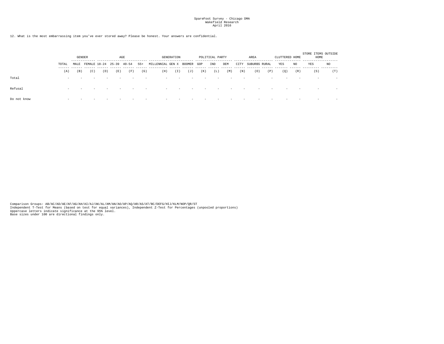12. What is the most embarrassing item you've ever stored away? Please be honest. Your answers are confidential.

|             |                          | <b>GENDER</b> |                               |                          |     | AGE |       |                         | <b>GENERATION</b> |                          |                          | POLITICAL PARTY |     |      | AREA          |     | CLUTTERED HOME |     | STORE ITEMS OUTSIDE<br>HOME |        |
|-------------|--------------------------|---------------|-------------------------------|--------------------------|-----|-----|-------|-------------------------|-------------------|--------------------------|--------------------------|-----------------|-----|------|---------------|-----|----------------|-----|-----------------------------|--------|
|             | TOTAL<br>------          | $- - - -$     | MALE FEMALE 18-24 25-39 40-54 |                          |     |     | $55+$ | MILLENNIAL GEN X BOOMER |                   |                          | GOP                      | IND             | DEM | CITY | SUBURBS RURAL |     | YES            | NO. | YES                         | NO     |
|             | (A)                      | (B)           | (C)                           | (D)                      | (E) | (F) | (G)   | (H)                     | (T)               | (J)                      | (K)                      | (L)             | (M) | (N)  | (0)           | (P) | (0)            | (R) | (S)                         | (T)    |
| Total       | $\overline{\phantom{a}}$ | -             |                               | $\overline{\phantom{a}}$ |     |     |       | -                       | $\sim$            | $\overline{\phantom{a}}$ | $\overline{\phantom{a}}$ |                 |     |      | $\sim$        |     |                |     | $\overline{\phantom{a}}$    |        |
| Refusal     | $\sim$                   |               |                               | $\overline{\phantom{a}}$ |     |     |       |                         |                   |                          |                          |                 |     |      |               |     |                |     |                             | $\sim$ |
| Do not know |                          |               |                               |                          |     |     |       |                         |                   |                          |                          |                 |     |      |               |     |                |     |                             |        |

Comparison Groups: AB/AC/AD/AE/AF/AG/AH/AI/AJ/AK/AL/AM/AN/AO/AP/AQ/AR/AS/AT/BC/DEFG/HIJ/KLM/NOP/QR/ST<br>Independent T-Test for Means (based on test for equal variances), Independent Z-Test for Percentages (unpooled proportio Base sizes under 100 are directional findings only.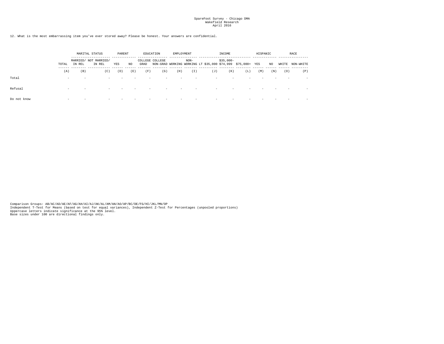12. What is the most embarrassing item you've ever stored away? Please be honest. Your answers are confidential.

|             |        |                                                                | MARITAL STATUS | PARENT |     |      | EDUCATION       | EMPLOYMENT |        |                                                             | INCOME     |     | HISPANIC |     |       | RACE      |
|-------------|--------|----------------------------------------------------------------|----------------|--------|-----|------|-----------------|------------|--------|-------------------------------------------------------------|------------|-----|----------|-----|-------|-----------|
|             | TOTAL  | MARRIED/ NOT MARRIED/<br>YES<br>IN REL<br>IN REL<br>(B)<br>(C) |                |        | NO. | GRAD | COLLEGE COLLEGE |            | $NON-$ | NON-GRAD WORKING WORKING LT \$35,000 \$74,999 \$75,000+ YES | $$35.000-$ |     |          | NO  | WHITE | NON-WHITE |
|             | (A)    |                                                                |                | (D)    | (E) | (F)  | (G)             | (H)        | (T)    | (J)                                                         | (K)        | (L) | (M)      | (N) | (0)   | (P)       |
| Total       | $\sim$ |                                                                |                |        |     |      |                 |            |        |                                                             |            |     |          |     |       |           |
| Refusal     | $\sim$ |                                                                |                |        |     |      |                 |            |        |                                                             |            |     |          |     |       |           |
| Do not know |        |                                                                |                |        |     |      |                 |            |        | $\overline{\phantom{a}}$                                    |            |     |          |     |       |           |

Comparison Groups: AB/AC/AD/AE/AF/AG/AH/AI/AJ/AK/AL/AM/AN/AO/AP/BC/DE/FG/HI/JKL/MN/OP<br>Independent T-Test for Means (based on test for equal variances), Independent Z-Test for Percentages (unpooled proportions)<br>Uppercase le Base sizes under 100 are directional findings only.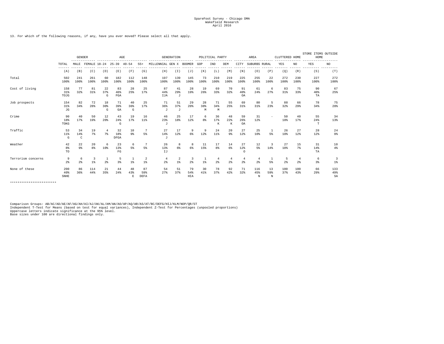13. For which of the following reasons, if any, have you ever moved? Please select all that apply.

|                    |                           | <b>GENDER</b>             |                          |                      |                   | AGE            |                   |                                              | <b>GENERATION</b>     |                      |                   | POLITICAL PARTY      | ------------                     |                       | AREA                             |                | CLUTTERED HOME        |                       | STORE ITEMS OUTSIDE<br>HOME |                  |
|--------------------|---------------------------|---------------------------|--------------------------|----------------------|-------------------|----------------|-------------------|----------------------------------------------|-----------------------|----------------------|-------------------|----------------------|----------------------------------|-----------------------|----------------------------------|----------------|-----------------------|-----------------------|-----------------------------|------------------|
|                    | TOTAL                     | MALE                      | FEMALE 18-24 25-39 40-54 |                      |                   |                | $55+$             | MILLENNIAL GEN X BOOMER GOP<br>$- - - - - -$ |                       |                      |                   | IND                  | DEM<br>$- - - - - -$             | CITY                  | SUBURBS RURAL                    |                | YES                   | NO.<br>$- - - - - -$  | YES                         | NO               |
|                    | (A)                       | (B)                       | (C)                      | (D)                  | (E)               | (F)            | (G)               | (H)                                          | -------<br>(T)        | (J)                  | (K)               | (L)                  | (M)                              | (N)                   | (0)                              | (P)            | (0)                   | (R)                   | (S)                         | (T)              |
| Total              | 502<br>100%               | 241<br>100%               | 261<br>100%              | 60<br>100%           | 182<br>100%       | 112<br>100%    | 148<br>100%       | 197<br>100%                                  | 139<br>100%           | 145<br>100%          | 73<br>100%        | 210<br>100%          | 219<br>100%                      | 225<br>100%           | 255<br>100%                      | 22<br>100%     | 272<br>100%           | 230<br>100%           | 227<br>100%                 | 272<br>100%      |
| Cost of living     | 158<br>31%<br>TOJG        | 77<br>32%                 | 81<br>31%                | 22<br>37%<br>G       | 83<br>46%<br>FGA  | 28<br>25%      | 25<br>17%         | 87<br>44%<br>IJA                             | 41<br>29%<br>$\sigma$ | 28<br>19%            | 19<br>26%         | 69<br>33%            | 70<br>32%                        | 91<br>40%<br>0A       | 61<br>24%                        | -6<br>27%      | 83<br>31%             | 75<br>33%             | 90<br>$40\%$<br>TA          | 67<br>25%        |
| Job prospects      | 154<br>31%<br>JG          | 82<br>34%                 | 72<br>28%                | 18<br>30%<br>G       | 71<br>39%<br>GA   | 40<br>36%<br>G | 25<br>17%         | 71<br>36%<br>$\cdot$ T                       | 51<br>37%<br>$\sigma$ | 29<br>20%            | 28<br>38%<br>M    | 71<br>34%<br>M       | 55<br>25%                        | 69<br>31%             | 80<br>31%                        | 5<br>23%       | 88<br>32%             | 66<br>29 <sub>8</sub> | 78<br>34%                   | 75<br>28%        |
| Crime              | 90<br>18%<br>TOKG         | 40<br>17%                 | 50<br>19%                | 12<br>20%            | 43<br>24%<br>G    | 19<br>17%      | 16<br>11%         | 46<br>23%<br>$\cdot$ T                       | 25<br>18%             | 17<br>12%            | 6<br>8%           | 36<br>17%<br>К       | 48<br>22%<br>K                   | 59<br>26%<br>OA       | 31<br>12%                        |                | 50<br>18%             | 40<br>17%             | 55<br>24%<br>T              | 34<br>13%        |
| Traffic            | 53<br>$11$ %<br>G         | 34<br>14%<br>$\mathsf{C}$ | 19<br>7%                 | $\overline{4}$<br>7% | 32<br>18%<br>DFGA | 10<br>9%       | 7<br>5%           | 27<br>14%<br>J                               | 17<br>12%             | 9<br>6%              | 9<br>12%          | 24<br>$11$ %         | 20<br>9%                         | 27<br>12%             | 25<br>10 <sup>8</sup>            | -1<br>5%       | 26<br>10 <sup>8</sup> | 27<br>12 <sup>8</sup> | 28<br>12 <sup>8</sup>       | 24<br>9%         |
| Weather            | 42<br>8%<br>TO            | 22<br>$9$ %               | 20<br>8 <sup>8</sup>     | -6<br>10%            | 23<br>13%<br>FG   | 6<br>5%        | 7<br>5%           | 26<br>13 <sup>8</sup><br>IJ                  | 8<br>6%               | 8<br>6%              | 11<br>15%         | 17<br>8 <sup>8</sup> | 14<br>6%                         | 27<br>12%<br>$\Omega$ | 12<br>5%                         | 3<br>14%       | 27<br>10 <sup>8</sup> | 15<br>7%              | 31<br>14%<br>TA             | 10<br>$4\%$      |
| Terrorism concerns | 9<br>2 <sup>8</sup>       | -6<br>2 <sup>8</sup>      | -3<br>1%                 | 1<br>2 <sup>8</sup>  | 5<br>3%           | -1<br>1        | 2<br>$1\%$        | 4<br>2 <sup>8</sup>                          | 2<br>$1\%$            | -3<br>2 <sup>8</sup> | 1<br>$1$ $\delta$ | -4<br>2 <sup>8</sup> | $\overline{4}$<br>2 <sup>8</sup> | -4<br>2 <sup>8</sup>  | $\overline{4}$<br>2 <sup>8</sup> | 1<br>5%        | 5<br>2 <sup>8</sup>   | 4<br>2 <sup>8</sup>   | 6<br>3%                     | 3<br>$1$ %       |
| None of these      | 200<br>40%<br><b>SNHE</b> | 86<br>36%                 | 114<br>44%               | 21<br>35%            | 44<br>24%         | 48<br>43%<br>E | 87<br>59%<br>DEFA | 54<br>27%                                    | 51<br>37%             | 79<br>54%<br>HIA     | 30<br>41%         | 78<br>37%            | 92<br>42%                        | 71<br>32%             | 116<br>45%<br>N                  | 13<br>59%<br>N | 100<br>37%            | 100<br>43%            | 66<br>29%                   | 133<br>49%<br>SA |

\*\*\*\*\*\*\*\*\*\*\*\*\*\*\*\*\*\*\*\*\*\*\*\*\*

Comparison Groups: AB/AC/AD/AE/AF/AG/AH/AI/AJ/AK/AL/AM/AN/AO/AP/AQ/AR/AS/AT/BC/DEFG/HIJ/KLM/NOP/QR/ST<br>Independent T-Test for Means (based on test for equal variances), Independent Z-Test for Percentages (unpooled proportio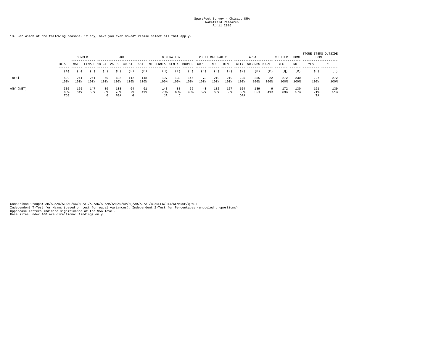13. For which of the following reasons, if any, have you ever moved? Please select all that apply.

|           |                   | <b>GENDER</b> |                                              |                |                   | AGE            |             |                  | <b>GENERATION</b> |             |            | POLITICAL PARTY |             |                   | AREA          |            | CLUTTERED HOME |             | STORE ITEMS OUTSIDE<br>HOME |             |
|-----------|-------------------|---------------|----------------------------------------------|----------------|-------------------|----------------|-------------|------------------|-------------------|-------------|------------|-----------------|-------------|-------------------|---------------|------------|----------------|-------------|-----------------------------|-------------|
|           | TOTAL<br>------   | MALE          | FEMALE 18-24<br>------- ------ ------ ------ |                | $25 - 39$         | $40 - 54$      | 55+         | MILLENNIAL GEN X |                   | BOOMER      | GOP        | IND             | DEM         | CITY              | SUBURBS RURAL |            | YES            | NO          | YES                         | NO.         |
|           | (A)               | (B)           | [C]                                          | (D)            | (E)               | (F)            | (G)         | (H)              | (T)               | (J)         | (K)        | (L)             | (M)         | (N)               | (0)           | (P)        | (Q)            | (R)         | (S)                         | (T)         |
| Total     | 502<br>100%       | 241<br>100%   | 261<br>100%                                  | 60<br>100%     | 182<br>100%       | 112<br>100%    | 148<br>100% | 197<br>100%      | 139<br>100%       | 145<br>100% | 73<br>100% | 210<br>100%     | 219<br>100% | 225<br>100%       | 255<br>100%   | 22<br>100% | 272<br>100%    | 230<br>100% | 227<br>100%                 | 272<br>100% |
| ANY (NET) | 302<br>60%<br>TJG | 155<br>64%    | 147<br>56%                                   | 39<br>65%<br>G | 138<br>76%<br>FGA | 64<br>57%<br>G | 61<br>41%   | 143<br>73%<br>JA | 88<br>63%         | 66<br>46%   | 43<br>59%  | 132<br>63%      | 127<br>58%  | 154<br>68%<br>OPA | 139<br>55%    | -9<br>41%  | 172<br>63%     | 130<br>57%  | 161<br>71%<br>TA            | 139<br>51%  |

Comparison Groups: AB/AC/AD/AE/AF/AG/AH/AI/AJ/AK/AL/AM/AN/AO/AP/AQ/AR/AS/AT/BC/DEFG/HIJ/KLM/NOP/QR/ST<br>Independent T-Test for Means (based on test for equal variances), Independent Z-Test for Percentages (unpooled proportio Base sizes under 100 are directional findings only.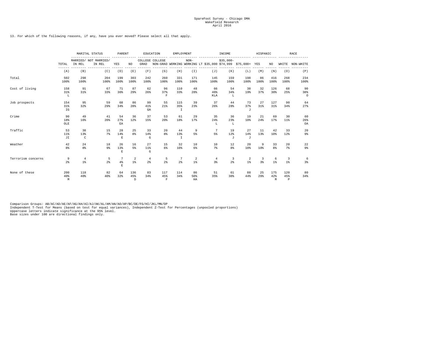13. For which of the following reasons, if any, have you ever moved? Please select all that apply.

|                    |                     |                                                | MARITAL STATUS                  | PARENT                   |                      |                                  | EDUCATION                            | EMPLOYMENT                  |                                   | ---- ----------  | INCOME              | .                                                           | HISPANIC             |                 |                           | RACE                 |
|--------------------|---------------------|------------------------------------------------|---------------------------------|--------------------------|----------------------|----------------------------------|--------------------------------------|-----------------------------|-----------------------------------|------------------|---------------------|-------------------------------------------------------------|----------------------|-----------------|---------------------------|----------------------|
|                    | TOTAL               | IN REL                                         | MARRIED/ NOT MARRIED/<br>IN REL | YES                      | NO.                  | GRAD                             | COLLEGE COLLEGE                      |                             | $NON-$                            |                  | $$35,000-$          | NON-GRAD WORKING WORKING LT \$35,000 \$74,999 \$75,000+ YES |                      | NO              | WHITE                     | NON-WHITE            |
|                    | (A)                 | (B)                                            | (C)                             | (D)                      | (E)                  | (F)                              | (G)                                  | (H)                         | (I)                               | (J)              | (K)                 | (L)                                                         | (M)                  | (N)             | (0)                       | (P)                  |
| Total              | 502<br>100%         | 298<br>100%                                    | 204<br>100%                     | 199<br>100%              | 303<br>100%          | 242<br>100%                      | 260<br>100%                          | 331<br>100%                 | 171<br>100%                       | 145<br>100%      | 159<br>100%         | 198<br>100%                                                 | 86<br>100%           | 416<br>100%     | 268<br>100%               | 234<br>100%          |
| Cost of living     | 158<br>31%<br>L     | 91<br>31%                                      | 67<br>33%                       | 71<br>36%                | 87<br>29%            | 62<br>26%                        | 96<br>37%<br>$\overline{\mathbf{F}}$ | 110<br>33%                  | 48<br>28%                         | 66<br>46%<br>KLA | 54<br>34%<br>L      | 38<br>19%                                                   | 32<br>37%            | 126<br>30%      | 68<br>25%                 | 90<br>38%<br>$\circ$ |
| Job prospects      | 154<br>31%<br>IG    | 95<br>32%                                      | 59<br>29%                       | 68<br>34%                | 86<br>$28*$          | 99<br>41%<br>GA                  | 55<br>21%                            | 115<br>35%<br>$\mathbbm{I}$ | 39<br>23%                         | 37<br>26         | 44<br>28%           | 73<br>37%<br>$\sigma$                                       | 27<br>31%            | 127<br>31%      | 90<br>34%                 | 64<br>27%            |
| Crime              | 90<br>18%<br>OLE    | 49<br>16%                                      | 41<br>20%                       | 54<br>27%<br>EA          | 36<br>12%            | 37<br>15%                        | 53<br>20%                            | 61<br>18%                   | 29<br>17%                         | 35<br>2.4%<br>L  | 36<br>2.3%<br>L     | 19<br>10%                                                   | 21<br>24%            | 69<br>17%       | 30<br>$11$ %              | 60<br>26%<br>OA      |
| Traffic            | 53<br>$11$ %<br>JI  | 38<br>13%<br>C                                 | 15<br>7%                        | 28<br>14%<br>$\mathbf E$ | 25<br>8 <sup>8</sup> | 33<br>14%<br>G                   | 20<br>8 <sup>8</sup>                 | 44<br>13%<br>$\mathbbm{I}$  | 9<br>5%                           | 7<br>5%          | 19<br>12%<br>J      | 27<br>14%<br>$\sigma$                                       | 11<br>13%            | 42<br>10%       | 33<br>12%                 | 20<br>9%             |
| Weather            | 42<br>8%            | 24<br>8%                                       | 18<br>9%                        | 26<br>13%<br>E           | 16<br>5%             | 27<br>11%<br>G                   | 15<br>6%                             | 32<br>10 <sup>8</sup>       | 10<br>6%                          | 10<br>$7\%$      | 12<br>8%            | 20<br>10%                                                   | 9<br>10 <sup>8</sup> | 33<br>8%        | 20<br>$7\%$               | 22<br>9%             |
| Terrorism concerns | 9<br>2 <sup>8</sup> | $\overline{4}$<br>$1$ $\overline{\phantom{a}}$ | 5<br>2 <sup>8</sup>             | 7<br>$4\%$<br>E          | 2<br>$1$ %           | $\overline{4}$<br>2 <sup>8</sup> | 5<br>2 <sup>8</sup>                  | 7<br>2 <sup>8</sup>         | 2<br>$1$ $\overline{\phantom{a}}$ | 4<br>3%          | 3<br>2 <sup>8</sup> | 2<br>$1$ %                                                  | -3<br>3%             | -6<br>$1$ %     | -3<br>$1$ $\delta$        | -6<br>3%             |
| None of these      | 200<br>40%<br>M     | 118<br>40%                                     | 82<br>40%                       | 64<br>32%                | 136<br>45%<br>D.     | 83<br>34%                        | 117<br>45%<br>F                      | 114<br>34%                  | 86<br>50%<br>HA                   | 51<br>35%        | 61<br>38%           | 88<br>44%                                                   | 25<br>29%            | 175<br>42%<br>M | 120<br>45%<br>$\mathbb P$ | 80<br>34%            |

Comparison Groups: AB/AC/AD/AE/AF/AG/AH/AI/AJ/AK/AL/AM/AN/AO/AP/BC/DE/FG/HI/JKL/MN/OP<br>Independent T-Test for Means (based on test for equal variances), Independent Z-Test for Percentages (unpooled proportions)<br>Uppercase le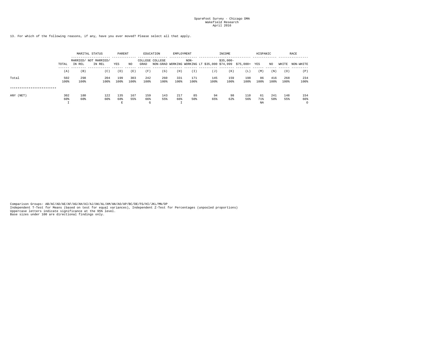13. For which of the following reasons, if any, have you ever moved? Please select all that apply.

|                           |                 |                                 | MARITAL STATUS |                  |             |                 | EDUCATION   | EMPLOYMENT  |                                                         |             | INCOME      |             | HISPANIC        |             |             | RACE                   |
|---------------------------|-----------------|---------------------------------|----------------|------------------|-------------|-----------------|-------------|-------------|---------------------------------------------------------|-------------|-------------|-------------|-----------------|-------------|-------------|------------------------|
|                           | TOTAL           | MARRIED/ NOT MARRIED/<br>IN REL | YES            | NO.              | GRAD        | COLLEGE COLLEGE |             | $NON-$      | NON-GRAD WORKING WORKING LT \$35,000 \$74,999 \$75,000+ | $$35.000-$  |             | YES         | NO              | WHITE       | NON-WHITE   |                        |
|                           | (A)             | (B)                             | (C)            | (D)              | (E)         | (F)             | (G)         | (H)         | (I)                                                     | (J)         | (K)         | (L)         | (M)             | (N)         | (0)         | (P)                    |
| Total                     | 502<br>100%     | 298<br>100%                     | 204<br>100%    | 199<br>100%      | 303<br>100% | 242<br>100%     | 260<br>100% | 331<br>100% | 171<br>100%                                             | 145<br>100% | 159<br>100% | 198<br>100% | 86<br>100%      | 416<br>100% | 268<br>100% | 234<br>100%            |
| ************************* |                 |                                 |                |                  |             |                 |             |             |                                                         |             |             |             |                 |             |             |                        |
| ANY (NET)                 | 302<br>60%<br>- | 180<br>60%                      | 122<br>60%     | 135<br>68%<br>E. | 167<br>55%  | 159<br>66%<br>G | 143<br>55%  | 217<br>66%  | 85<br>50%                                               | 94<br>65%   | 98<br>62%   | 110<br>56%  | 61<br>71%<br>NA | 241<br>58%  | 148<br>55%  | 154<br>66%<br>$\Omega$ |

Comparison Groups: AB/AC/AD/AE/AF/AG/AH/AI/AJ/AK/AL/AM/AN/AO/AP/BC/DE/FG/HI/JKL/MN/OP<br>Independent T-Test for Means (based on test for equal variances), Independent Z-Test for Percentages (unpooled proportions)<br>Uppercase le Base sizes under 100 are directional findings only.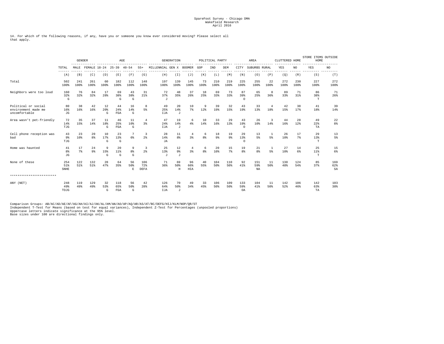14. For which of the following reasons, if any, have you or someone you know ever considered moving? Please select all that apply.

|                                                             | <b>GENDER</b>               |             |                      | AGE            |                          |                 |                     | <b>GENERATION</b>                 |                         |                         | POLITICAL PARTY<br>. |                      | $- - - - - -$ | AREA                  | ------------         | CLUTTERED HOME                   | $- - - - - - -$ | STORE ITEMS OUTSIDE<br>HOME<br>------- | .                        |                  |
|-------------------------------------------------------------|-----------------------------|-------------|----------------------|----------------|--------------------------|-----------------|---------------------|-----------------------------------|-------------------------|-------------------------|----------------------|----------------------|---------------|-----------------------|----------------------|----------------------------------|-----------------|----------------------------------------|--------------------------|------------------|
|                                                             | TOTAL<br>$- - - - - -$      | MALE        |                      |                | FEMALE 18-24 25-39 40-54 |                 | $55+$               | MILLENNIAL GEN X BOOMER           |                         |                         | GOP                  | IND                  | DEM           | CITY                  | SUBURBS RURAL        |                                  | YES             | NO<br>------                           | YES                      | NO.<br>--------- |
|                                                             | (A)                         | (B)         | (C)                  | (D)            | (E)                      | (F)             | (G)                 | (H)                               | (T)                     | (J)                     | (K)                  | (L)                  | (M)           | (N)                   | (0)                  | (P)                              | (Q)             | (R)                                    | ---------<br>(S)         | (T)              |
| Total                                                       | 502<br>100%                 | 241<br>100% | 261<br>100%          | 60<br>100%     | 182<br>100%              | 112<br>100%     | 148<br>100%         | 197<br>100%                       | 139<br>100%             | 145<br>100%             | 73<br>100%           | 210<br>100%          | 219<br>100%   | 225<br>100%           | 255<br>100%          | 22<br>100%                       | 272<br>100%     | 230<br>100%                            | 227<br>100%              | 272<br>100%      |
| Neighbors were too loud                                     | 160<br>32%<br>G             | 76<br>32%   | 84<br>32%            | 17<br>28%      | 69<br>38%<br>G           | 43<br>38%<br>G  | 31<br>21%           | 72<br>37%<br>$\sigma$             | 48<br>35%               | 37<br>26%               | 18<br>25%            | 69<br>33%            | 73<br>33%     | 87<br>39%<br>$\circ$  | 65<br>25%            | 8<br>36%                         | 89<br>33%       | 71<br>31%                              | 86<br>38%<br>$\mathbb T$ | -71<br>26%       |
| Political or social<br>environment made me<br>uncomfortable | 80<br>16%<br>JG             | 38<br>16%   | 42<br>16%            | 12<br>20%<br>G | 44<br>24%<br>FGA         | 16<br>14%<br>G  | 8<br>5%             | 49<br>25%<br><b>IJA</b>           | 20<br>14%<br>J          | 10<br>7%                | 9<br>12%             | 39<br>19%            | 32<br>15%     | 43<br>19%             | 33<br>13%            | 4<br>18%                         | 42<br>15%       | 38<br>17%                              | 41<br>18%                | 39<br>14%        |
| Area wasn't pet-friendly                                    | 72<br>14%<br>TJG            | 35<br>15%   | 37<br>14%            | 11<br>18%<br>G | 46<br>25%<br>FGA         | 11<br>10%<br>G  | 4<br>3%             | 47<br>24%<br>IJA                  | 19<br>14%<br>J          | 6<br>$4\%$              | 10<br>14%            | 33<br>16%            | 29<br>13%     | 43<br>19%<br>$\Omega$ | 26<br>10%            | 3<br>14%                         | 44<br>16%       | 28<br>12%                              | 49<br>22%<br>TA          | 22<br>8%         |
| Cell phone reception was<br>bad                             | 43<br>9 <sub>8</sub><br>TJG | 23<br>10%   | 20<br>8 <sup>8</sup> | 10<br>17%<br>G | 23<br>13%<br>G           | 7<br>6%         | 3<br>2 <sup>8</sup> | 28<br>14%<br><b>JA</b>            | 11<br>8 <sup>8</sup>    | 4<br>3%                 | 6<br>8%              | 18<br>9 <sub>8</sub> | 19<br>9%      | 29<br>13%<br>$\Omega$ | 13<br>5 <sup>8</sup> | 1<br>5%                          | 26<br>10%       | 17<br>7%                               | 29<br>13%<br>$_{\rm T}$  | 13<br>$5\%$      |
| Home was haunted                                            | 41<br>8%<br>JG              | 17<br>7%    | 24<br>9%             | 9<br>15%<br>G  | 2.0<br>11%<br>G          | 9<br>8%<br>G    | 3<br>2 <sup>8</sup> | 25<br>13%<br>$\cdot$ <sub>1</sub> | 12<br>$9\%$<br>J        | 4<br>3 <sup>8</sup>     | 6<br>8%              | 20<br>10%            | 15<br>7%      | 19<br>8 <sup>8</sup>  | 21<br>8%             | $\overline{1}$<br>5 <sup>8</sup> | 27<br>10%       | 14<br>6%                               | 25<br>11%<br>$\mathbb T$ | 15<br>6%         |
| None of these                                               | 254<br>51%<br><b>SNHE</b>   | 122<br>51%  | 132<br>51%           | 28<br>47%      | 64<br>35%                | 56<br>50%<br>E. | 106<br>72%<br>DEFA  | 71<br>36%                         | 69<br>50%<br>$_{\rm H}$ | 96<br>66%<br><b>HIA</b> | 40<br>55%            | 104<br>50%           | 110<br>50%    | 92<br>41%             | 151<br>59%<br>NA     | 11<br>50%                        | 130<br>48%      | 124<br>54%                             | 85<br>37%                | 169<br>62%<br>SA |
| *************************                                   |                             |             |                      |                |                          |                 |                     |                                   |                         |                         |                      |                      |               |                       |                      |                                  |                 |                                        |                          |                  |
| ANY (NET)                                                   | 248<br>49%<br>TOJG          | 119<br>49%  | 129<br>49%           | 32<br>53%<br>G | 118<br>65%<br>FGA        | 56<br>50%<br>G  | 42<br>28%           | 126<br>64%<br>IJA                 | 70<br>50%<br>J          | 49<br>34%               | 33<br>45%            | 106<br>50%           | 109<br>50%    | 133<br>59%<br>OA      | 104<br>41%           | 11<br>50%                        | 142<br>52%      | 106<br>46%                             | 142<br>63%<br>TA         | 103<br>38%       |

Comparison Groups: AB/AC/AD/AE/AF/AG/AH/AI/AJ/AK/AL/AM/AN/AO/AP/AQ/AR/AS/AT/BC/DEFG/HIJ/KLM/NOP/QR/ST<br>Independent T-Test for Means (based on test for equal variances), Independent Z-Test for Percentages (unpooled proportio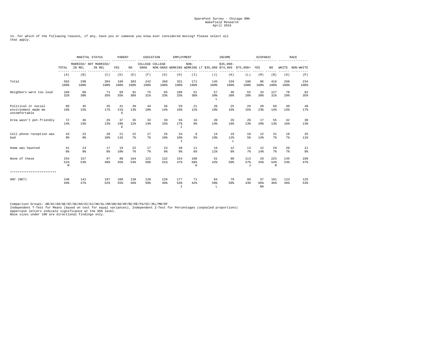14. For which of the following reasons, if any, have you or someone you know ever considered moving? Please select all that apply.

|                                                             |                 |                      | MARITAL STATUS                  | PARENT                   |             |             | EDUCATION       | EMPLOYMENT                  |                      |                                                             | INCOME               |                         | HISPANIC        |                 |             | <b>RACE</b>          |
|-------------------------------------------------------------|-----------------|----------------------|---------------------------------|--------------------------|-------------|-------------|-----------------|-----------------------------|----------------------|-------------------------------------------------------------|----------------------|-------------------------|-----------------|-----------------|-------------|----------------------|
|                                                             | TOTAL           | IN REL               | MARRIED/ NOT MARRIED/<br>IN REL | YES                      | NO.         | GRAD        | COLLEGE COLLEGE |                             | $NON-$               | NON-GRAD WORKING WORKING LT \$35,000 \$74,999 \$75,000+ YES | $$35.000-$           |                         |                 | NO.             | WHITE       | NON-WHITE            |
|                                                             | ------<br>(A)   | (B)                  | (C)                             | (D)                      | (E)         | (F)         | (G)             | (H)                         | (T)                  | (J)                                                         | (K)                  | (L)                     | (M)             | (N)             | (0)         | (P)                  |
| Total                                                       | 502<br>100%     | 298<br>100%          | 204<br>100%                     | 199<br>100%              | 303<br>100% | 242<br>100% | 260<br>100%     | 331<br>100%                 | 171<br>100%          | 145<br>100%                                                 | 159<br>100%          | 198<br>100%             | 86<br>100%      | 416<br>100%     | 268<br>100% | 234<br>100%          |
| Neighbors were too loud                                     | 160<br>32%      | 89<br>30%            | 71<br>35%                       | 69<br>35%                | 91<br>30%   | 75<br>31%   | 85<br>33%       | 109<br>33%                  | 51<br>30%            | 57<br>39%<br>T.                                             | 48<br>30%            | 55<br>28%               | 33<br>38%       | 127<br>$31\%$   | 78<br>29%   | 82<br>35%            |
| Political or social<br>environment made me<br>uncomfortable | 80<br>16%       | 45<br>15%            | 35<br>17%                       | 41<br>21%<br>$\mathbf E$ | 39<br>13%   | 44<br>18%   | 36<br>14%       | 59<br>18%                   | 21<br>12%            | 26<br>18%                                                   | 25<br>16%            | 29<br>15%               | 20<br>23%       | 60<br>14%       | 40<br>15%   | 40<br>17%            |
| Area wasn't pet-friendly                                    | 72<br>14%       | 46<br>15%            | 26<br>13%                       | 37<br>19%<br>$\mathbf E$ | 35<br>12%   | 33<br>14%   | 39<br>15%       | 56<br>17%<br>$\mathbb{I}$   | 16<br>$9\%$          | $20^{\circ}$<br>14%                                         | 26<br>16%            | 26<br>13%               | 17<br>20%       | 55<br>13%       | 42<br>16%   | 30<br>13%            |
| Cell phone reception was<br>bad                             | 43<br>9%        | 23<br>8 <sup>8</sup> | 20<br>10%                       | 21<br>11%                | 22<br>7%    | 17<br>7%    | 26<br>10%       | 34<br>10%<br>$\mathbb{I}$   | 9<br>5%              | 14<br>10 <sup>8</sup>                                       | 19<br>12%<br>L       | 10<br>5%                | 12<br>14%       | 31<br>7%        | 18<br>7%    | 25<br>11%            |
| Home was haunted                                            | 41<br>8%        | 24<br>8 <sup>8</sup> | 17<br>8%                        | 19<br>10%                | 22<br>7%    | 17<br>7%    | 24<br>9%        | 30<br>9%                    | 11<br>6%             | 16<br>11%                                                   | 12<br>8 <sup>8</sup> | 13<br>7%                | 12<br>14%       | 29<br>7%        | 20<br>7%    | 21<br>9 <sub>8</sub> |
| None of these                                               | 254<br>51%<br>М | 157<br>53%           | 97<br>48%                       | 90<br>45%                | 164<br>54%  | 122<br>50%  | 132<br>51%      | 154<br>47%                  | 100<br>58%<br>$\,$ H | 61<br>42%                                                   | 80<br>50%            | 113<br>57%<br>$\cdot$ T | 29<br>34%       | 225<br>54%<br>М | 145<br>54%  | 109<br>47%           |
| *************************                                   |                 |                      |                                 |                          |             |             |                 |                             |                      |                                                             |                      |                         |                 |                 |             |                      |
| ANY (NET)                                                   | 248<br>49%      | 141<br>47%           | 107<br>52%                      | 109<br>55%               | 139<br>46%  | 120<br>50%  | 128<br>49%      | 177<br>53%<br>$\mathbbm{I}$ | 71<br>42%            | 84<br>58%<br>L                                              | 79<br>50%            | 85<br>43%               | 57<br>66%<br>NA | 191<br>46%      | 123<br>46%  | 125<br>53%           |

Comparison Groups: AB/AC/AD/AE/AF/AG/AH/AI/AJ/AK/AL/AM/AN/AO/AP/BC/DE/FG/HI/JKL/MN/OP<br>Independent T-Test for Means (based on test for equal variances), Independent Z-Test for Percentages (unpooled proportions)<br>Uppercase le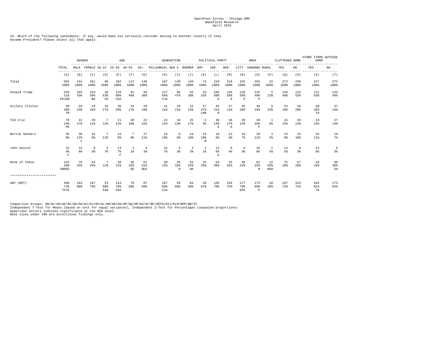#### 15. Which of the following candidates, if any, would make you seriously consider moving to another country if they became President? Please select all that apply.

|                           |                            | <b>GENDER</b>         | -------------            | $\rm AGE$<br>-----------<br>--------- |                            |                 |                      | <b>GENERATION</b><br>-----------<br>----------- |                                  |                      | POLITICAL PARTY      |                 |                 | AREA<br>--------  |                            |                         | CLUTTERED HOME |              | STORE ITEMS OUTSIDE<br>HOME<br>------- |                          |
|---------------------------|----------------------------|-----------------------|--------------------------|---------------------------------------|----------------------------|-----------------|----------------------|-------------------------------------------------|----------------------------------|----------------------|----------------------|-----------------|-----------------|-------------------|----------------------------|-------------------------|----------------|--------------|----------------------------------------|--------------------------|
|                           | TOTAL<br>$- - - - - - -$   | MALE                  | FEMALE 18-24 25-39 40-54 |                                       |                            |                 | $55+$                | MILLENNIAL GEN X BOOMER                         |                                  |                      | GOP                  | IND             | DEM             | CITY              | SUBURBS RURAL              |                         | YES            | NO.<br>----- | YES<br>$- - - -$                       | NO.<br>---------         |
|                           | (A)                        | (B)                   | (C)                      | (D)                                   | (E)                        | (F)             | (G)                  | (H)                                             | (I)                              | (J)                  | (K)                  | (L)             | (M)             | (N)               | (0)                        | (P)                     | (Q)            | (R)          | (S)                                    | (T)                      |
| Total                     | 502<br>100%                | 241<br>100%           | 261<br>100%              | 60<br>100%                            | 182<br>100%                | 112<br>100%     | 148<br>100%          | 197<br>100%                                     | 139<br>100%                      | 145<br>100%          | 73<br>100%           | 210<br>100%     | 219<br>100%     | 225<br>100%       | 255<br>100%                | 22<br>100%              | 272<br>100%    | 230<br>100%  | 227<br>100%                            | 272<br>100%              |
| Donald Trump              | 256<br>51%<br>PKJGB        | 103<br>43%            | 153<br>59%<br><b>BA</b>  | 38<br>63%<br>FG                       | 110<br>60%<br>FGA          | 52<br>46%       | 56<br>38%            | 127<br>64%<br>IJA                               | 66<br>47%                        | 55<br>38%            | 23<br>32%            | 105<br>50%<br>К | 128<br>58%<br>K | 126<br>56%<br>P   | 125<br>49%<br>$\, {\bf P}$ | 5<br>23%                | 134<br>49%     | 122<br>53%   | 121<br>53%                             | 134<br>49%               |
| Hillary Clinton           | 99<br>20%<br>TM            | 56<br>23%             | 43<br>16%                | 16<br>27%                             | 36<br>20%                  | 19<br>17%       | 28<br>19%            | 41<br>21%                                       | 29<br>21%                        | 22<br>15%            | 27<br>37%<br>LMA     | 45<br>21%<br>М  | 27<br>12%       | 45<br>20%         | 49<br>19%                  | 23%                     | 53<br>19%      | 46<br>20%    | 60<br>26%<br>TA                        | 37<br>14%                |
| Ted Cruz                  | 70<br>14%<br>PК            | 41<br>17%             | 29<br>11%                | 7<br>12%                              | 21<br>12%                  | 20<br>18%       | 22<br>15%            | 24<br>12%                                       | 18<br>13%                        | 25<br>17%            | $\overline{2}$<br>3% | 30<br>14%<br>K  | 38<br>17%<br>K  | 29<br>13%         | 40<br>16%<br>$\, {\bf P}$  | 5%                      | 41<br>15%      | 29<br>13%    | 33<br>15%                              | 37<br>14%                |
| Bernie Sanders            | 45<br>9%                   | 30<br>12%<br>$\rm{C}$ | 15<br>$6\%$              | 7<br>12%                              | 14<br>8%                   | 7<br>6%         | 17<br>$11$ %         | 19<br>10%                                       | 8<br>6 <sup>8</sup>              | 14<br>10%            | 13<br>18%<br>М       | 19<br>9%        | 13<br>6%        | 16<br>7%          | 28<br>11%                  | 1<br>5%                 | 23<br>8%       | 22<br>10%    | 26<br>$11$ %                           | 19<br>7%                 |
| John Kasich               | 22<br>$4\%$<br>$\mathbf F$ | 14<br>6%              | 8<br>3%                  | $\overline{4}$<br>$7\%$               | 13<br>7%<br>$\overline{F}$ | 1%              | $\overline{4}$<br>3% | 14<br>7%                                        | $\overline{4}$<br>3 <sup>8</sup> | $\overline{4}$<br>3% | 1<br>1%              | 12<br>6%<br>K   | 9<br>4%         | 6<br>3%           | 15<br>6%                   | 5%                      | 14<br>5%       | 8<br>3%      | 13<br>6%                               | 9<br>3%                  |
| None of these             | 142<br>28%<br>SNHED        | 78<br>32%             | 64<br>25%                | $\overline{7}$<br>12%                 | 38<br>21%                  | 36<br>32%<br>DE | 61<br>41%<br>DEA     | 30<br>15%                                       | 45<br>32%<br>$_{\rm H}$          | 61<br>42%<br>HA      | 24<br>33%            | 64<br>30%       | 54<br>25%       | 48<br>21%         | 82<br>32%<br>N             | 12<br>55%<br><b>NOA</b> | 75<br>28%      | 67<br>29%    | 43<br>19%                              | 99<br>36%<br>$_{\rm SA}$ |
| ************************* |                            |                       |                          |                                       |                            |                 |                      |                                                 |                                  |                      |                      |                 |                 |                   |                            |                         |                |              |                                        |                          |
| ANY (NET)                 | 360<br>72%<br>TPJG         | 163<br>68%            | 197<br>75%               | 53<br>88%<br>FGA                      | 144<br>79%<br>FGA          | 76<br>68%       | 87<br>59%            | 167<br>85%<br>IJA                               | 94<br>68%                        | 84<br>58%            | 49<br>67%            | 146<br>70%      | 165<br>75%      | 177<br>79%<br>OPA | 173<br>68%<br>$\mathbf{P}$ | 10<br>45%               | 197<br>72%     | 163<br>71%   | 184<br>81%<br>TA                       | 173<br>64%               |

Comparison Groups: AB/AC/AD/AE/AF/AG/AH/AI/AJ/AK/AL/AM/AN/AO/AP/AQ/AR/AS/AT/BC/DEFG/HIJ/KLM/NOP/QR/ST<br>Independent T-Test for Means (based on test for equal variances), Independent Z-Test for Percentages (unpooled proportio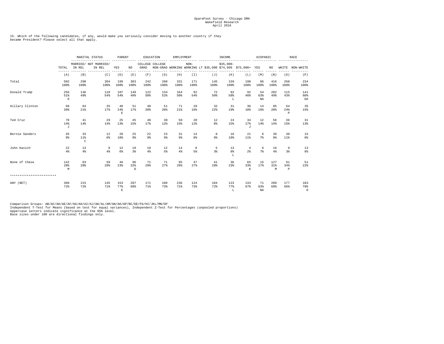15. Which of the following candidates, if any, would make you seriously consider moving to another country if they became President? Please select all that apply.

|                           |                        | MARITAL STATUS<br>$- - - - - -$ | PARENT                          |                          | EDUCATION            |             | EMPLOYMENT           |             |                                                                       | HISPANIC    |                 | RACE                             |                        |                 |                          |                       |
|---------------------------|------------------------|---------------------------------|---------------------------------|--------------------------|----------------------|-------------|----------------------|-------------|-----------------------------------------------------------------------|-------------|-----------------|----------------------------------|------------------------|-----------------|--------------------------|-----------------------|
|                           | TOTAL                  | IN REL                          | MARRIED/ NOT MARRIED/<br>IN REL | YES                      | NO                   | GRAD        | COLLEGE COLLEGE      |             | $NON-$<br>NON-GRAD WORKING WORKING LT \$35,000 \$74,999 \$75,000+ YES |             | $$35,000-$      |                                  |                        | NO              | WHITE                    | NON-WHITE             |
|                           | (A)                    | (B)                             | (C)                             | (D)                      | (E)                  | (F)         | (G)                  | (H)         | $(\bot)$                                                              | (J)         | (K)             | (L)                              | (M)                    | (N)             | (0)                      | (P)                   |
| Total                     | 502<br>100%            | 298<br>100%                     | 204<br>100%                     | 199<br>100%              | 303<br>100%          | 242<br>100% | 260<br>100%          | 331<br>100% | 171<br>100%                                                           | 145<br>100% | 159<br>100%     | 198<br>100%                      | 86<br>100%             | 416<br>100%     | 268<br>100%              | 234<br>100%           |
| Donald Trump              | 256<br>51%<br>$\Omega$ | 146<br>49%                      | 110<br>54%                      | 107<br>54%               | 149<br>49%           | 122<br>50%  | 134<br>52%           | 164<br>50%  | 92<br>54%                                                             | 72<br>50%   | 92<br>58%<br>L  | 92<br>46%                        | -54<br>63%<br>NA       | 202<br>49%      | 115<br>43%               | 141<br>60%<br>OA      |
| Hillary Clinton           | 99<br>20%              | 64<br>21%                       | 35<br>17%                       | 48<br>24%<br>$\mathbf E$ | 51<br>17%            | 48<br>20%   | 51<br>20%            | 71<br>21%   | 28<br>16%                                                             | 32<br>22%   | 31<br>19%       | 36<br>18%                        | 14<br>16%              | 85<br>20%       | 64<br>24%<br>P           | 35<br>15%             |
| Ted Cruz                  | 70<br>14%<br>$\sigma$  | 41<br>14%                       | 29<br>14%                       | 25<br>13%                | 45<br>15%            | 40<br>17%   | 30<br>12%            | 50<br>15%   | 20<br>12%                                                             | 12<br>8%    | 24<br>15%       | 34<br>17%<br>$\tau$              | 12<br>14%              | 58<br>14%       | 39<br>15%                | 31<br>13%             |
| Bernie Sanders            | 45<br>9%               | 33<br>11%<br>C                  | 12<br>6 <sup>8</sup>            | 20<br>10%                | 25<br>8 <sup>8</sup> | 22<br>9%    | 23<br>9 <sup>8</sup> | 31<br>9%    | 14<br>8%                                                              | 8<br>6%     | 16<br>10%       | 21<br>11%                        | 6<br>7%                | 39<br>9%        | 30<br>11%                | 15<br>6%              |
| John Kasich               | 22<br>4%               | 13<br>4%                        | 9<br>4%                         | 12<br>$6\%$              | 10<br>3              | 10<br>4%    | 12<br>5%             | 14<br>$4\%$ | 8<br>5%                                                               | 5<br>3%     | 13<br>8%<br>т.  | $\overline{4}$<br>2 <sup>8</sup> | 6<br>7%                | 16<br>4%        | 9<br>3%                  | 13<br>6%              |
| None of these             | 142<br>28%<br>M        | 83<br>28%                       | 59<br>29%                       | 46<br>23%                | 96<br>32%<br>D.      | 71<br>29%   | 71<br>27%            | 95<br>29%   | 47<br>27%                                                             | 41<br>28%   | 36<br>23%       | 65<br>33%<br>К                   | 15<br>17%              | 127<br>31%<br>M | 91<br>34%<br>$\mathbb P$ | 51<br>22%             |
| ************************* |                        |                                 |                                 |                          |                      |             |                      |             |                                                                       |             |                 |                                  |                        |                 |                          |                       |
| ANY (NET)                 | 360<br>72%             | 215<br>72%                      | 145<br>71%                      | 153<br>77%<br>E          | 207<br>68%           | 171<br>71%  | 189<br>73%           | 236<br>71%  | 124<br>73%                                                            | 104<br>72%  | 123<br>77%<br>L | 133<br>67%                       | 71<br>83%<br><b>NA</b> | 289<br>69%      | 177<br>66%               | 183<br>78%<br>$\circ$ |

Comparison Groups: AB/AC/AD/AE/AF/AG/AH/AI/AJ/AK/AL/AM/AN/AO/AP/BC/DE/FG/HI/JKL/MN/OP<br>Independent T-Test for Means (based on test for equal variances), Independent Z-Test for Percentages (unpooled proportions)<br>Uppercase le